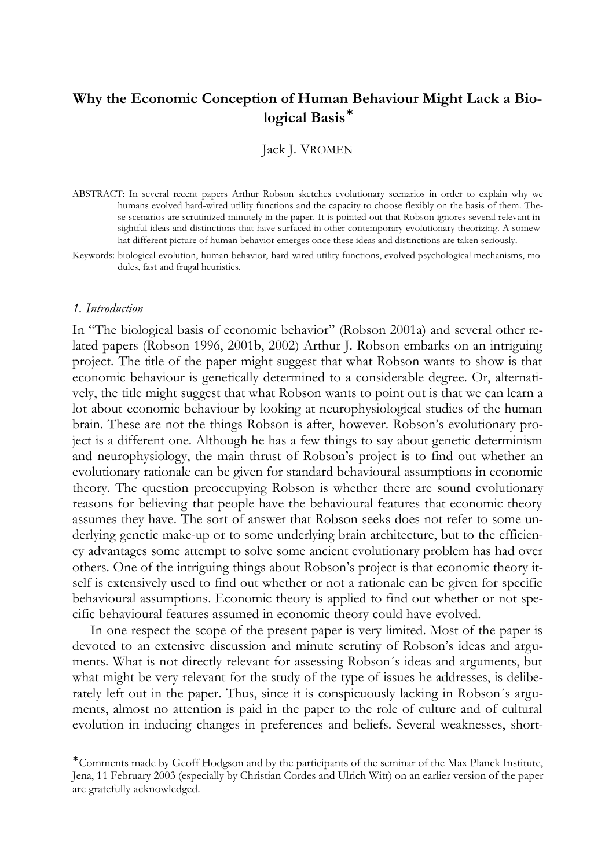# **Why the Economic Conception of Human Behaviour Might Lack a Biological Basis\***

## Jack J. VROMEN

- ABSTRACT: In several recent papers Arthur Robson sketches evolutionary scenarios in order to explain why we humans evolved hard-wired utility functions and the capacity to choose flexibly on the basis of them. These scenarios are scrutinized minutely in the paper. It is pointed out that Robson ignores several relevant insightful ideas and distinctions that have surfaced in other contemporary evolutionary theorizing. A somewhat different picture of human behavior emerges once these ideas and distinctions are taken seriously.
- Keywords: biological evolution, human behavior, hard-wired utility functions, evolved psychological mechanisms, modules, fast and frugal heuristics.

#### *1. Introduction*

 $\overline{a}$ 

In "The biological basis of economic behavior" (Robson 2001a) and several other related papers (Robson 1996, 2001b, 2002) Arthur J. Robson embarks on an intriguing project. The title of the paper might suggest that what Robson wants to show is that economic behaviour is genetically determined to a considerable degree. Or, alternatively, the title might suggest that what Robson wants to point out is that we can learn a lot about economic behaviour by looking at neurophysiological studies of the human brain. These are not the things Robson is after, however. Robson's evolutionary project is a different one. Although he has a few things to say about genetic determinism and neurophysiology, the main thrust of Robson's project is to find out whether an evolutionary rationale can be given for standard behavioural assumptions in economic theory. The question preoccupying Robson is whether there are sound evolutionary reasons for believing that people have the behavioural features that economic theory assumes they have. The sort of answer that Robson seeks does not refer to some underlying genetic make-up or to some underlying brain architecture, but to the efficiency advantages some attempt to solve some ancient evolutionary problem has had over others. One of the intriguing things about Robson's project is that economic theory itself is extensively used to find out whether or not a rationale can be given for specific behavioural assumptions. Economic theory is applied to find out whether or not specific behavioural features assumed in economic theory could have evolved.

In one respect the scope of the present paper is very limited. Most of the paper is devoted to an extensive discussion and minute scrutiny of Robson's ideas and arguments. What is not directly relevant for assessing Robson´s ideas and arguments, but what might be very relevant for the study of the type of issues he addresses, is deliberately left out in the paper. Thus, since it is conspicuously lacking in Robson´s arguments, almost no attention is paid in the paper to the role of culture and of cultural evolution in inducing changes in preferences and beliefs. Several weaknesses, short-

<sup>∗</sup> Comments made by Geoff Hodgson and by the participants of the seminar of the Max Planck Institute, Jena, 11 February 2003 (especially by Christian Cordes and Ulrich Witt) on an earlier version of the paper are gratefully acknowledged.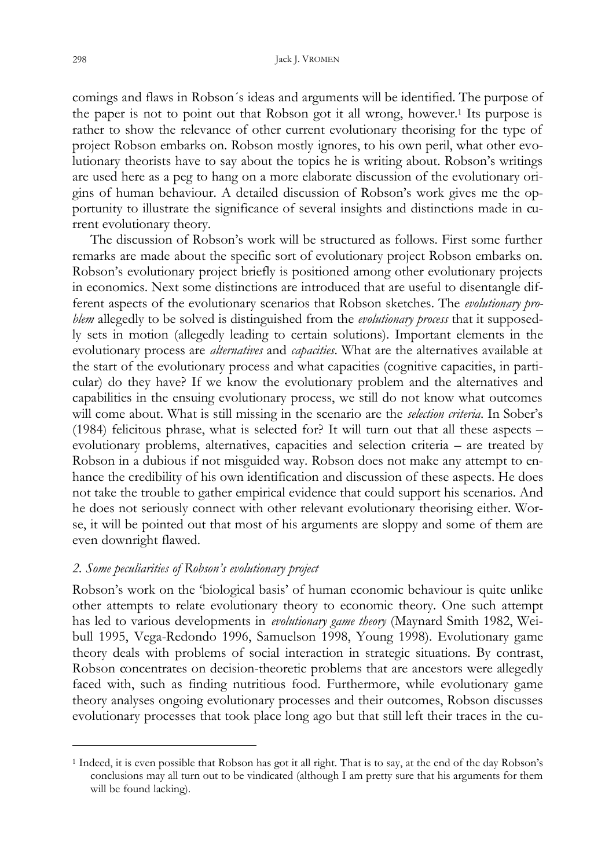comings and flaws in Robson´s ideas and arguments will be identified. The purpose of the paper is not to point out that Robson got it all wrong, however.1 Its purpose is rather to show the relevance of other current evolutionary theorising for the type of project Robson embarks on. Robson mostly ignores, to his own peril, what other evolutionary theorists have to say about the topics he is writing about. Robson's writings are used here as a peg to hang on a more elaborate discussion of the evolutionary origins of human behaviour. A detailed discussion of Robson's work gives me the opportunity to illustrate the significance of several insights and distinctions made in current evolutionary theory.

The discussion of Robson's work will be structured as follows. First some further remarks are made about the specific sort of evolutionary project Robson embarks on. Robson's evolutionary project briefly is positioned among other evolutionary projects in economics. Next some distinctions are introduced that are useful to disentangle different aspects of the evolutionary scenarios that Robson sketches. The *evolutionary problem* allegedly to be solved is distinguished from the *evolutionary process* that it supposedly sets in motion (allegedly leading to certain solutions). Important elements in the evolutionary process are *alternatives* and *capacities*. What are the alternatives available at the start of the evolutionary process and what capacities (cognitive capacities, in particular) do they have? If we know the evolutionary problem and the alternatives and capabilities in the ensuing evolutionary process, we still do not know what outcomes will come about. What is still missing in the scenario are the *selection criteria*. In Sober's (1984) felicitous phrase, what is selected for? It will turn out that all these aspects – evolutionary problems, alternatives, capacities and selection criteria – are treated by Robson in a dubious if not misguided way. Robson does not make any attempt to enhance the credibility of his own identification and discussion of these aspects. He does not take the trouble to gather empirical evidence that could support his scenarios. And he does not seriously connect with other relevant evolutionary theorising either. Worse, it will be pointed out that most of his arguments are sloppy and some of them are even downright flawed.

## *2. Some peculiarities of Robson's evolutionary project*

Robson's work on the 'biological basis' of human economic behaviour is quite unlike other attempts to relate evolutionary theory to economic theory. One such attempt has led to various developments in *evolutionary game theory* (Maynard Smith 1982, Weibull 1995, Vega-Redondo 1996, Samuelson 1998, Young 1998). Evolutionary game theory deals with problems of social interaction in strategic situations. By contrast, Robson concentrates on decision-theoretic problems that are ancestors were allegedly faced with, such as finding nutritious food. Furthermore, while evolutionary game theory analyses ongoing evolutionary processes and their outcomes, Robson discusses evolutionary processes that took place long ago but that still left their traces in the cu-

<sup>1</sup> Indeed, it is even possible that Robson has got it all right. That is to say, at the end of the day Robson's conclusions may all turn out to be vindicated (although I am pretty sure that his arguments for them will be found lacking).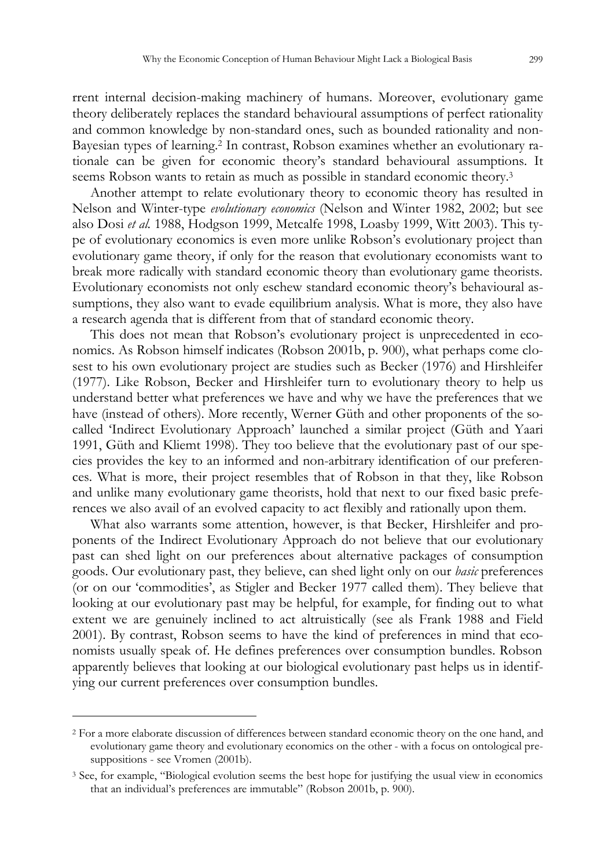rrent internal decision-making machinery of humans. Moreover, evolutionary game theory deliberately replaces the standard behavioural assumptions of perfect rationality and common knowledge by non-standard ones, such as bounded rationality and non-Bayesian types of learning.2 In contrast, Robson examines whether an evolutionary rationale can be given for economic theory's standard behavioural assumptions. It seems Robson wants to retain as much as possible in standard economic theory.<sup>3</sup>

Another attempt to relate evolutionary theory to economic theory has resulted in Nelson and Winter-type *evolutionary economics* (Nelson and Winter 1982, 2002; but see also Dosi *et al.* 1988, Hodgson 1999, Metcalfe 1998, Loasby 1999, Witt 2003). This type of evolutionary economics is even more unlike Robson's evolutionary project than evolutionary game theory, if only for the reason that evolutionary economists want to break more radically with standard economic theory than evolutionary game theorists. Evolutionary economists not only eschew standard economic theory's behavioural assumptions, they also want to evade equilibrium analysis. What is more, they also have a research agenda that is different from that of standard economic theory.

This does not mean that Robson's evolutionary project is unprecedented in economics. As Robson himself indicates (Robson 2001b, p. 900), what perhaps come closest to his own evolutionary project are studies such as Becker (1976) and Hirshleifer (1977). Like Robson, Becker and Hirshleifer turn to evolutionary theory to help us understand better what preferences we have and why we have the preferences that we have (instead of others). More recently, Werner Güth and other proponents of the socalled 'Indirect Evolutionary Approach' launched a similar project (Güth and Yaari 1991, Güth and Kliemt 1998). They too believe that the evolutionary past of our species provides the key to an informed and non-arbitrary identification of our preferences. What is more, their project resembles that of Robson in that they, like Robson and unlike many evolutionary game theorists, hold that next to our fixed basic preferences we also avail of an evolved capacity to act flexibly and rationally upon them.

What also warrants some attention, however, is that Becker, Hirshleifer and proponents of the Indirect Evolutionary Approach do not believe that our evolutionary past can shed light on our preferences about alternative packages of consumption goods. Our evolutionary past, they believe, can shed light only on our *basic* preferences (or on our 'commodities', as Stigler and Becker 1977 called them). They believe that looking at our evolutionary past may be helpful, for example, for finding out to what extent we are genuinely inclined to act altruistically (see als Frank 1988 and Field 2001). By contrast, Robson seems to have the kind of preferences in mind that economists usually speak of. He defines preferences over consumption bundles. Robson apparently believes that looking at our biological evolutionary past helps us in identifying our current preferences over consumption bundles.

<sup>2</sup> For a more elaborate discussion of differences between standard economic theory on the one hand, and evolutionary game theory and evolutionary economics on the other - with a focus on ontological presuppositions - see Vromen (2001b).

<sup>3</sup> See, for example, "Biological evolution seems the best hope for justifying the usual view in economics that an individual's preferences are immutable" (Robson 2001b, p. 900).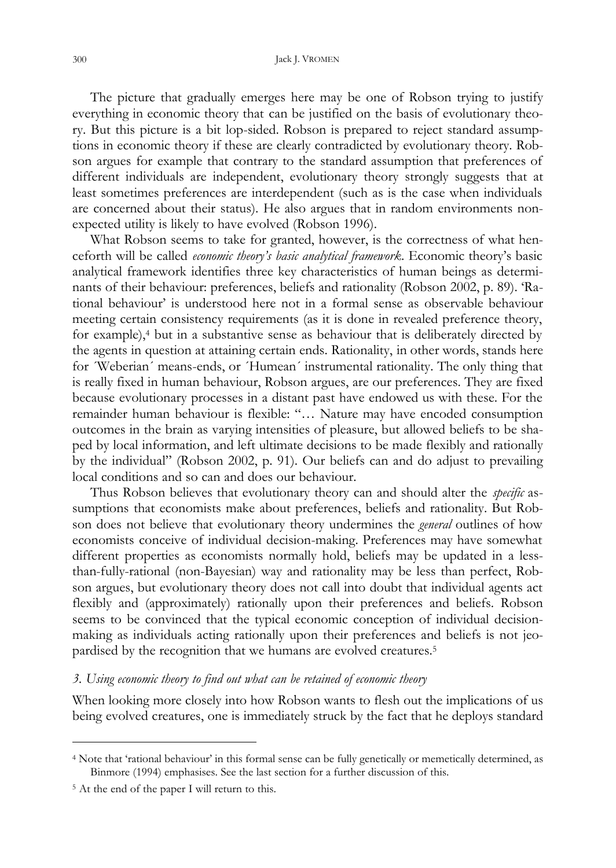The picture that gradually emerges here may be one of Robson trying to justify everything in economic theory that can be justified on the basis of evolutionary theory. But this picture is a bit lop-sided. Robson is prepared to reject standard assumptions in economic theory if these are clearly contradicted by evolutionary theory. Robson argues for example that contrary to the standard assumption that preferences of different individuals are independent, evolutionary theory strongly suggests that at least sometimes preferences are interdependent (such as is the case when individuals are concerned about their status). He also argues that in random environments nonexpected utility is likely to have evolved (Robson 1996).

What Robson seems to take for granted, however, is the correctness of what henceforth will be called *economic theory's basic analytical framework*. Economic theory's basic analytical framework identifies three key characteristics of human beings as determinants of their behaviour: preferences, beliefs and rationality (Robson 2002, p. 89). 'Rational behaviour' is understood here not in a formal sense as observable behaviour meeting certain consistency requirements (as it is done in revealed preference theory, for example),4 but in a substantive sense as behaviour that is deliberately directed by the agents in question at attaining certain ends. Rationality, in other words, stands here for ´Weberian´ means-ends, or ´Humean´ instrumental rationality. The only thing that is really fixed in human behaviour, Robson argues, are our preferences. They are fixed because evolutionary processes in a distant past have endowed us with these. For the remainder human behaviour is flexible: "… Nature may have encoded consumption outcomes in the brain as varying intensities of pleasure, but allowed beliefs to be shaped by local information, and left ultimate decisions to be made flexibly and rationally by the individual" (Robson 2002, p. 91). Our beliefs can and do adjust to prevailing local conditions and so can and does our behaviour.

Thus Robson believes that evolutionary theory can and should alter the *specific* assumptions that economists make about preferences, beliefs and rationality. But Robson does not believe that evolutionary theory undermines the *general* outlines of how economists conceive of individual decision-making. Preferences may have somewhat different properties as economists normally hold, beliefs may be updated in a lessthan-fully-rational (non-Bayesian) way and rationality may be less than perfect, Robson argues, but evolutionary theory does not call into doubt that individual agents act flexibly and (approximately) rationally upon their preferences and beliefs. Robson seems to be convinced that the typical economic conception of individual decisionmaking as individuals acting rationally upon their preferences and beliefs is not jeopardised by the recognition that we humans are evolved creatures.<sup>5</sup>

#### *3. Using economic theory to find out what can be retained of economic theory*

When looking more closely into how Robson wants to flesh out the implications of us being evolved creatures, one is immediately struck by the fact that he deploys standard

<sup>4</sup> Note that 'rational behaviour' in this formal sense can be fully genetically or memetically determined, as Binmore (1994) emphasises. See the last section for a further discussion of this.

<sup>5</sup> At the end of the paper I will return to this.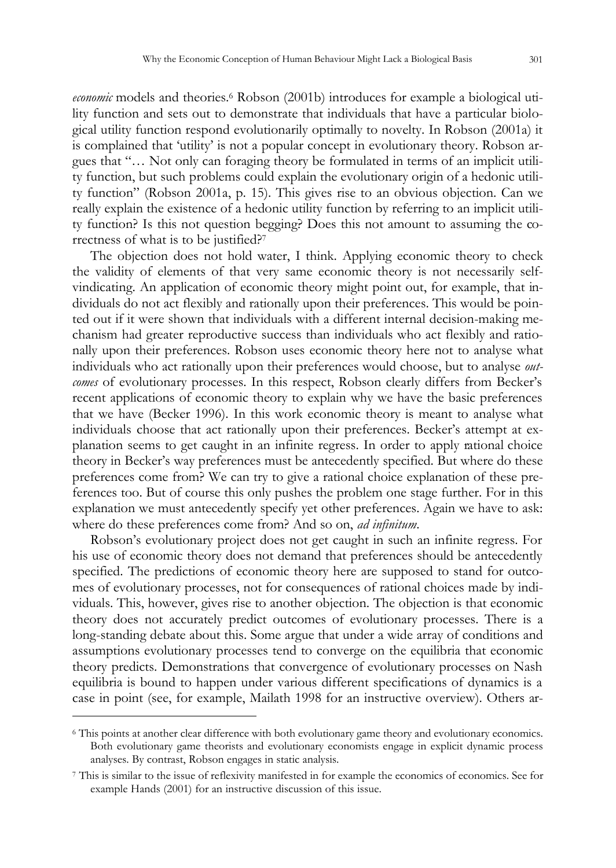*economic* models and theories.<sup>6</sup> Robson (2001b) introduces for example a biological utility function and sets out to demonstrate that individuals that have a particular biological utility function respond evolutionarily optimally to novelty. In Robson (2001a) it is complained that 'utility' is not a popular concept in evolutionary theory. Robson argues that "… Not only can foraging theory be formulated in terms of an implicit utility function, but such problems could explain the evolutionary origin of a hedonic utility function" (Robson 2001a, p. 15). This gives rise to an obvious objection. Can we really explain the existence of a hedonic utility function by referring to an implicit utility function? Is this not question begging? Does this not amount to assuming the correctness of what is to be justified?<sup>7</sup>

The objection does not hold water, I think. Applying economic theory to check the validity of elements of that very same economic theory is not necessarily selfvindicating. An application of economic theory might point out, for example, that individuals do not act flexibly and rationally upon their preferences. This would be pointed out if it were shown that individuals with a different internal decision-making mechanism had greater reproductive success than individuals who act flexibly and rationally upon their preferences. Robson uses economic theory here not to analyse what individuals who act rationally upon their preferences would choose, but to analyse *outcomes* of evolutionary processes. In this respect, Robson clearly differs from Becker's recent applications of economic theory to explain why we have the basic preferences that we have (Becker 1996). In this work economic theory is meant to analyse what individuals choose that act rationally upon their preferences. Becker's attempt at explanation seems to get caught in an infinite regress. In order to apply rational choice theory in Becker's way preferences must be antecedently specified. But where do these preferences come from? We can try to give a rational choice explanation of these preferences too. But of course this only pushes the problem one stage further. For in this explanation we must antecedently specify yet other preferences. Again we have to ask: where do these preferences come from? And so on, *ad infinitum*.

Robson's evolutionary project does not get caught in such an infinite regress. For his use of economic theory does not demand that preferences should be antecedently specified. The predictions of economic theory here are supposed to stand for outcomes of evolutionary processes, not for consequences of rational choices made by individuals. This, however, gives rise to another objection. The objection is that economic theory does not accurately predict outcomes of evolutionary processes. There is a long-standing debate about this. Some argue that under a wide array of conditions and assumptions evolutionary processes tend to converge on the equilibria that economic theory predicts. Demonstrations that convergence of evolutionary processes on Nash equilibria is bound to happen under various different specifications of dynamics is a case in point (see, for example, Mailath 1998 for an instructive overview). Others ar-

<sup>6</sup> This points at another clear difference with both evolutionary game theory and evolutionary economics. Both evolutionary game theorists and evolutionary economists engage in explicit dynamic process analyses. By contrast, Robson engages in static analysis.

<sup>7</sup> This is similar to the issue of reflexivity manifested in for example the economics of economics. See for example Hands (2001) for an instructive discussion of this issue.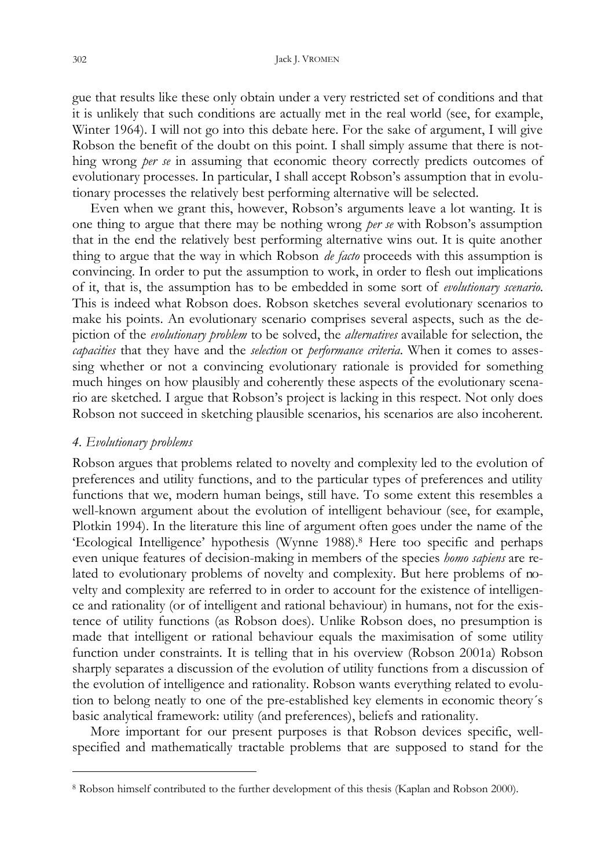gue that results like these only obtain under a very restricted set of conditions and that it is unlikely that such conditions are actually met in the real world (see, for example, Winter 1964). I will not go into this debate here. For the sake of argument, I will give Robson the benefit of the doubt on this point. I shall simply assume that there is nothing wrong *per se* in assuming that economic theory correctly predicts outcomes of evolutionary processes. In particular, I shall accept Robson's assumption that in evolutionary processes the relatively best performing alternative will be selected.

Even when we grant this, however, Robson's arguments leave a lot wanting. It is one thing to argue that there may be nothing wrong *per se* with Robson's assumption that in the end the relatively best performing alternative wins out. It is quite another thing to argue that the way in which Robson *de facto* proceeds with this assumption is convincing. In order to put the assumption to work, in order to flesh out implications of it, that is, the assumption has to be embedded in some sort of *evolutionary scenario*. This is indeed what Robson does. Robson sketches several evolutionary scenarios to make his points. An evolutionary scenario comprises several aspects, such as the depiction of the *evolutionary problem* to be solved, the *alternatives* available for selection, the *capacities* that they have and the *selection* or *performance criteria*. When it comes to assessing whether or not a convincing evolutionary rationale is provided for something much hinges on how plausibly and coherently these aspects of the evolutionary scenario are sketched. I argue that Robson's project is lacking in this respect. Not only does Robson not succeed in sketching plausible scenarios, his scenarios are also incoherent.

#### *4. Evolutionary problems*

 $\ddot{\phantom{a}}$ 

Robson argues that problems related to novelty and complexity led to the evolution of preferences and utility functions, and to the particular types of preferences and utility functions that we, modern human beings, still have. To some extent this resembles a well-known argument about the evolution of intelligent behaviour (see, for example, Plotkin 1994). In the literature this line of argument often goes under the name of the 'Ecological Intelligence' hypothesis (Wynne 1988).8 Here too specific and perhaps even unique features of decision-making in members of the species *homo sapiens* are related to evolutionary problems of novelty and complexity. But here problems of novelty and complexity are referred to in order to account for the existence of intelligence and rationality (or of intelligent and rational behaviour) in humans, not for the existence of utility functions (as Robson does). Unlike Robson does, no presumption is made that intelligent or rational behaviour equals the maximisation of some utility function under constraints. It is telling that in his overview (Robson 2001a) Robson sharply separates a discussion of the evolution of utility functions from a discussion of the evolution of intelligence and rationality. Robson wants everything related to evolution to belong neatly to one of the pre-established key elements in economic theory´s basic analytical framework: utility (and preferences), beliefs and rationality.

More important for our present purposes is that Robson devices specific, wellspecified and mathematically tractable problems that are supposed to stand for the

<sup>8</sup> Robson himself contributed to the further development of this thesis (Kaplan and Robson 2000).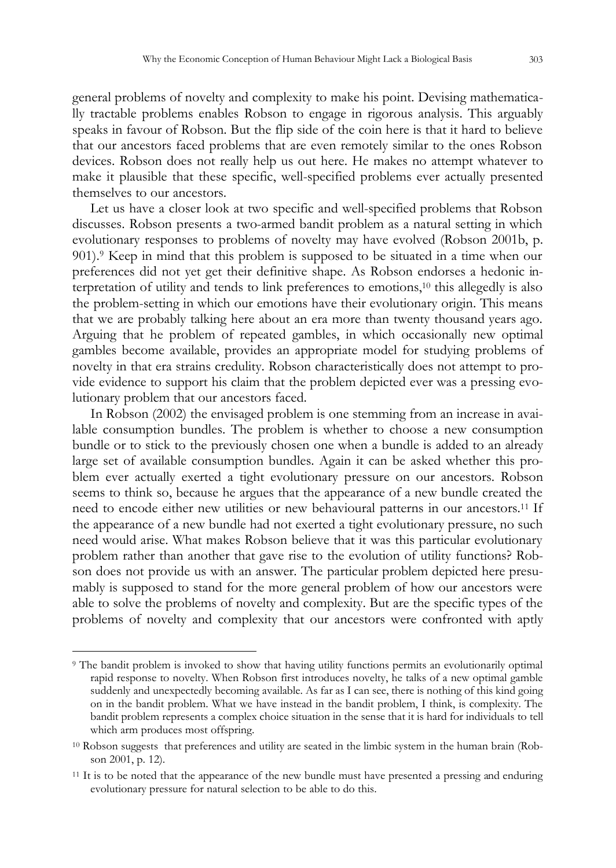general problems of novelty and complexity to make his point. Devising mathematically tractable problems enables Robson to engage in rigorous analysis. This arguably speaks in favour of Robson. But the flip side of the coin here is that it hard to believe that our ancestors faced problems that are even remotely similar to the ones Robson devices. Robson does not really help us out here. He makes no attempt whatever to make it plausible that these specific, well-specified problems ever actually presented themselves to our ancestors.

Let us have a closer look at two specific and well-specified problems that Robson discusses. Robson presents a two-armed bandit problem as a natural setting in which evolutionary responses to problems of novelty may have evolved (Robson 2001b, p. 901).9 Keep in mind that this problem is supposed to be situated in a time when our preferences did not yet get their definitive shape. As Robson endorses a hedonic interpretation of utility and tends to link preferences to emotions,10 this allegedly is also the problem-setting in which our emotions have their evolutionary origin. This means that we are probably talking here about an era more than twenty thousand years ago. Arguing that he problem of repeated gambles, in which occasionally new optimal gambles become available, provides an appropriate model for studying problems of novelty in that era strains credulity. Robson characteristically does not attempt to provide evidence to support his claim that the problem depicted ever was a pressing evolutionary problem that our ancestors faced.

In Robson (2002) the envisaged problem is one stemming from an increase in available consumption bundles. The problem is whether to choose a new consumption bundle or to stick to the previously chosen one when a bundle is added to an already large set of available consumption bundles. Again it can be asked whether this problem ever actually exerted a tight evolutionary pressure on our ancestors. Robson seems to think so, because he argues that the appearance of a new bundle created the need to encode either new utilities or new behavioural patterns in our ancestors.11 If the appearance of a new bundle had not exerted a tight evolutionary pressure, no such need would arise. What makes Robson believe that it was this particular evolutionary problem rather than another that gave rise to the evolution of utility functions? Robson does not provide us with an answer. The particular problem depicted here presumably is supposed to stand for the more general problem of how our ancestors were able to solve the problems of novelty and complexity. But are the specific types of the problems of novelty and complexity that our ancestors were confronted with aptly

<sup>9</sup> The bandit problem is invoked to show that having utility functions permits an evolutionarily optimal rapid response to novelty. When Robson first introduces novelty, he talks of a new optimal gamble suddenly and unexpectedly becoming available. As far as I can see, there is nothing of this kind going on in the bandit problem. What we have instead in the bandit problem, I think, is complexity. The bandit problem represents a complex choice situation in the sense that it is hard for individuals to tell which arm produces most offspring.

<sup>10</sup> Robson suggests that preferences and utility are seated in the limbic system in the human brain (Robson 2001, p. 12).

<sup>11</sup> It is to be noted that the appearance of the new bundle must have presented a pressing and enduring evolutionary pressure for natural selection to be able to do this.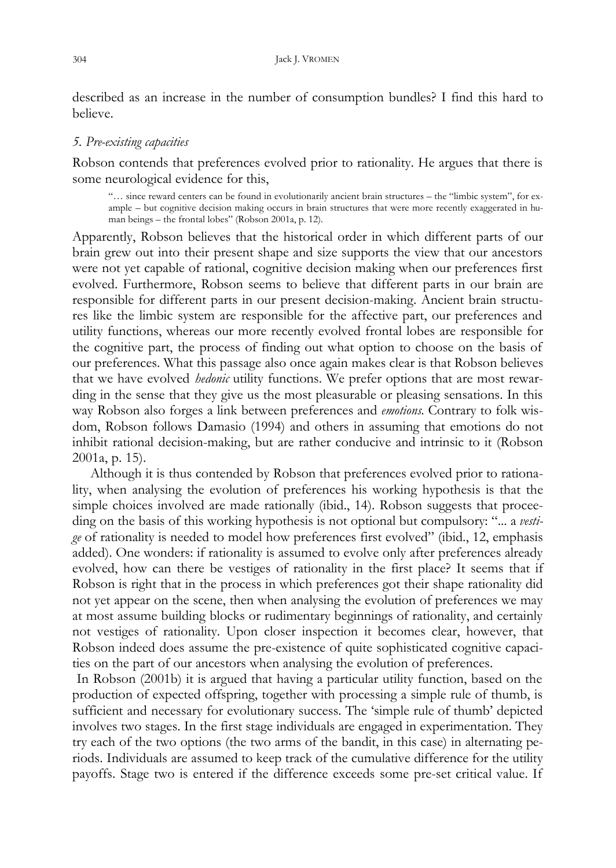described as an increase in the number of consumption bundles? I find this hard to believe.

#### *5. Pre-existing capacities*

Robson contends that preferences evolved prior to rationality. He argues that there is some neurological evidence for this,

"… since reward centers can be found in evolutionarily ancient brain structures – the "limbic system", for example – but cognitive decision making occurs in brain structures that were more recently exaggerated in human beings – the frontal lobes" (Robson 2001a, p. 12).

Apparently, Robson believes that the historical order in which different parts of our brain grew out into their present shape and size supports the view that our ancestors were not yet capable of rational, cognitive decision making when our preferences first evolved. Furthermore, Robson seems to believe that different parts in our brain are responsible for different parts in our present decision-making. Ancient brain structures like the limbic system are responsible for the affective part, our preferences and utility functions, whereas our more recently evolved frontal lobes are responsible for the cognitive part, the process of finding out what option to choose on the basis of our preferences. What this passage also once again makes clear is that Robson believes that we have evolved *hedonic* utility functions. We prefer options that are most rewarding in the sense that they give us the most pleasurable or pleasing sensations. In this way Robson also forges a link between preferences and *emotions*. Contrary to folk wisdom, Robson follows Damasio (1994) and others in assuming that emotions do not inhibit rational decision-making, but are rather conducive and intrinsic to it (Robson 2001a, p. 15).

Although it is thus contended by Robson that preferences evolved prior to rationality, when analysing the evolution of preferences his working hypothesis is that the simple choices involved are made rationally (ibid., 14). Robson suggests that proceeding on the basis of this working hypothesis is not optional but compulsory: "... a *vestige* of rationality is needed to model how preferences first evolved" (ibid., 12, emphasis added). One wonders: if rationality is assumed to evolve only after preferences already evolved, how can there be vestiges of rationality in the first place? It seems that if Robson is right that in the process in which preferences got their shape rationality did not yet appear on the scene, then when analysing the evolution of preferences we may at most assume building blocks or rudimentary beginnings of rationality, and certainly not vestiges of rationality. Upon closer inspection it becomes clear, however, that Robson indeed does assume the pre-existence of quite sophisticated cognitive capacities on the part of our ancestors when analysing the evolution of preferences.

 In Robson (2001b) it is argued that having a particular utility function, based on the production of expected offspring, together with processing a simple rule of thumb, is sufficient and necessary for evolutionary success. The 'simple rule of thumb' depicted involves two stages. In the first stage individuals are engaged in experimentation. They try each of the two options (the two arms of the bandit, in this case) in alternating periods. Individuals are assumed to keep track of the cumulative difference for the utility payoffs. Stage two is entered if the difference exceeds some pre-set critical value. If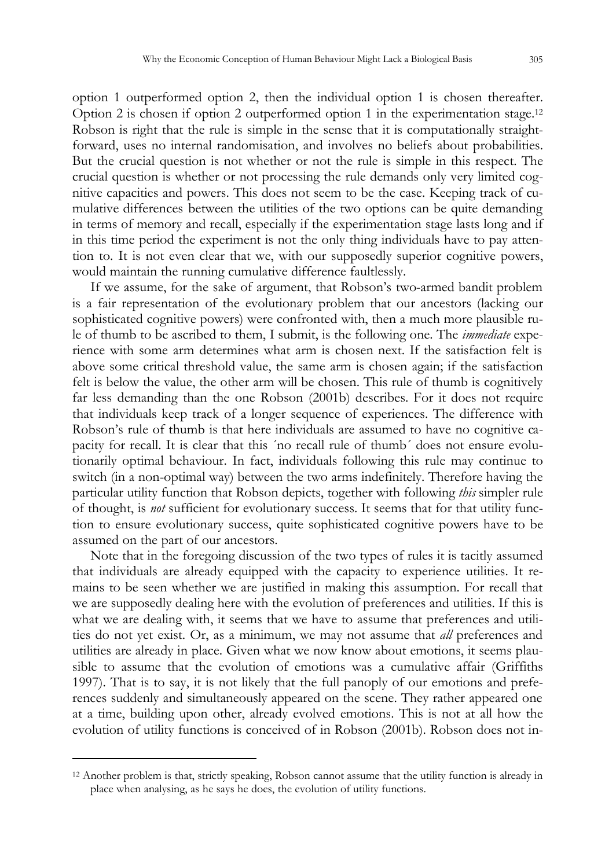option 1 outperformed option 2, then the individual option 1 is chosen thereafter. Option 2 is chosen if option 2 outperformed option 1 in the experimentation stage.<sup>12</sup> Robson is right that the rule is simple in the sense that it is computationally straightforward, uses no internal randomisation, and involves no beliefs about probabilities. But the crucial question is not whether or not the rule is simple in this respect. The crucial question is whether or not processing the rule demands only very limited cognitive capacities and powers. This does not seem to be the case. Keeping track of cumulative differences between the utilities of the two options can be quite demanding in terms of memory and recall, especially if the experimentation stage lasts long and if in this time period the experiment is not the only thing individuals have to pay attention to. It is not even clear that we, with our supposedly superior cognitive powers, would maintain the running cumulative difference faultlessly.

If we assume, for the sake of argument, that Robson's two-armed bandit problem is a fair representation of the evolutionary problem that our ancestors (lacking our sophisticated cognitive powers) were confronted with, then a much more plausible rule of thumb to be ascribed to them, I submit, is the following one. The *immediate* experience with some arm determines what arm is chosen next. If the satisfaction felt is above some critical threshold value, the same arm is chosen again; if the satisfaction felt is below the value, the other arm will be chosen. This rule of thumb is cognitively far less demanding than the one Robson (2001b) describes. For it does not require that individuals keep track of a longer sequence of experiences. The difference with Robson's rule of thumb is that here individuals are assumed to have no cognitive capacity for recall. It is clear that this ´no recall rule of thumb´ does not ensure evolutionarily optimal behaviour. In fact, individuals following this rule may continue to switch (in a non-optimal way) between the two arms indefinitely. Therefore having the particular utility function that Robson depicts, together with following *this* simpler rule of thought, is *not* sufficient for evolutionary success. It seems that for that utility function to ensure evolutionary success, quite sophisticated cognitive powers have to be assumed on the part of our ancestors.

Note that in the foregoing discussion of the two types of rules it is tacitly assumed that individuals are already equipped with the capacity to experience utilities. It remains to be seen whether we are justified in making this assumption. For recall that we are supposedly dealing here with the evolution of preferences and utilities. If this is what we are dealing with, it seems that we have to assume that preferences and utilities do not yet exist. Or, as a minimum, we may not assume that *all* preferences and utilities are already in place. Given what we now know about emotions, it seems plausible to assume that the evolution of emotions was a cumulative affair (Griffiths 1997). That is to say, it is not likely that the full panoply of our emotions and preferences suddenly and simultaneously appeared on the scene. They rather appeared one at a time, building upon other, already evolved emotions. This is not at all how the evolution of utility functions is conceived of in Robson (2001b). Robson does not in-

<sup>12</sup> Another problem is that, strictly speaking, Robson cannot assume that the utility function is already in place when analysing, as he says he does, the evolution of utility functions.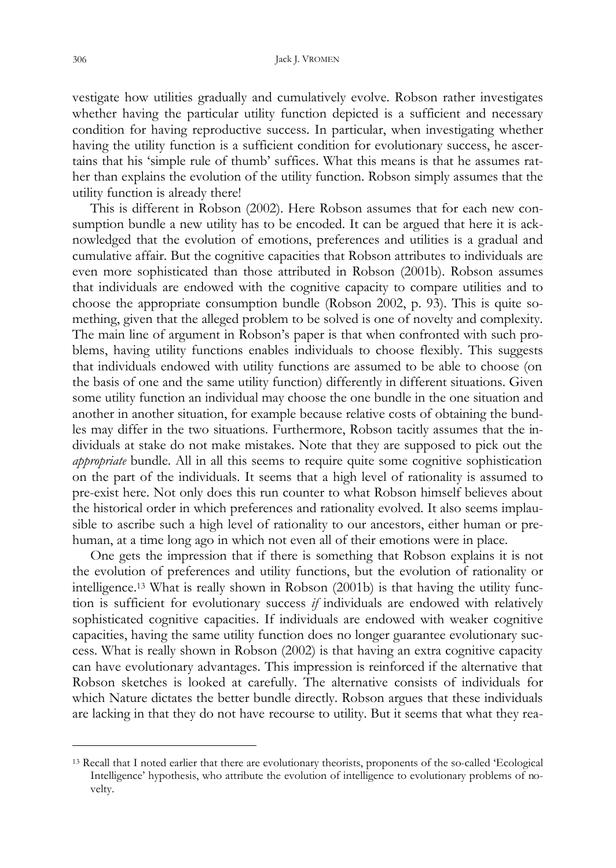vestigate how utilities gradually and cumulatively evolve. Robson rather investigates whether having the particular utility function depicted is a sufficient and necessary condition for having reproductive success. In particular, when investigating whether having the utility function is a sufficient condition for evolutionary success, he ascertains that his 'simple rule of thumb' suffices. What this means is that he assumes rather than explains the evolution of the utility function. Robson simply assumes that the utility function is already there!

This is different in Robson (2002). Here Robson assumes that for each new consumption bundle a new utility has to be encoded. It can be argued that here it is acknowledged that the evolution of emotions, preferences and utilities is a gradual and cumulative affair. But the cognitive capacities that Robson attributes to individuals are even more sophisticated than those attributed in Robson (2001b). Robson assumes that individuals are endowed with the cognitive capacity to compare utilities and to choose the appropriate consumption bundle (Robson 2002, p. 93). This is quite something, given that the alleged problem to be solved is one of novelty and complexity. The main line of argument in Robson's paper is that when confronted with such problems, having utility functions enables individuals to choose flexibly. This suggests that individuals endowed with utility functions are assumed to be able to choose (on the basis of one and the same utility function) differently in different situations. Given some utility function an individual may choose the one bundle in the one situation and another in another situation, for example because relative costs of obtaining the bundles may differ in the two situations. Furthermore, Robson tacitly assumes that the individuals at stake do not make mistakes. Note that they are supposed to pick out the *appropriate* bundle. All in all this seems to require quite some cognitive sophistication on the part of the individuals. It seems that a high level of rationality is assumed to pre-exist here. Not only does this run counter to what Robson himself believes about the historical order in which preferences and rationality evolved. It also seems implausible to ascribe such a high level of rationality to our ancestors, either human or prehuman, at a time long ago in which not even all of their emotions were in place.

One gets the impression that if there is something that Robson explains it is not the evolution of preferences and utility functions, but the evolution of rationality or intelligence.13 What is really shown in Robson (2001b) is that having the utility function is sufficient for evolutionary success *if* individuals are endowed with relatively sophisticated cognitive capacities. If individuals are endowed with weaker cognitive capacities, having the same utility function does no longer guarantee evolutionary success. What is really shown in Robson (2002) is that having an extra cognitive capacity can have evolutionary advantages. This impression is reinforced if the alternative that Robson sketches is looked at carefully. The alternative consists of individuals for which Nature dictates the better bundle directly. Robson argues that these individuals are lacking in that they do not have recourse to utility. But it seems that what they rea-

<sup>13</sup> Recall that I noted earlier that there are evolutionary theorists, proponents of the so-called 'Ecological Intelligence' hypothesis, who attribute the evolution of intelligence to evolutionary problems of novelty.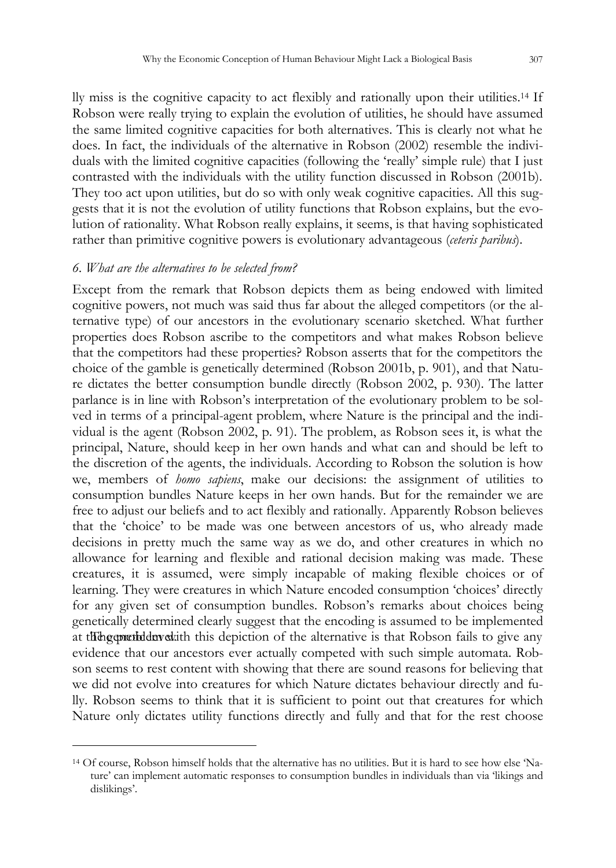lly miss is the cognitive capacity to act flexibly and rationally upon their utilities.14 If Robson were really trying to explain the evolution of utilities, he should have assumed the same limited cognitive capacities for both alternatives. This is clearly not what he does. In fact, the individuals of the alternative in Robson (2002) resemble the individuals with the limited cognitive capacities (following the 'really' simple rule) that I just contrasted with the individuals with the utility function discussed in Robson (2001b). They too act upon utilities, but do so with only weak cognitive capacities. All this suggests that it is not the evolution of utility functions that Robson explains, but the evolution of rationality. What Robson really explains, it seems, is that having sophisticated rather than primitive cognitive powers is evolutionary advantageous (*ceteris paribus*).

#### *6. What are the alternatives to be selected from?*

 $\overline{a}$ 

Except from the remark that Robson depicts them as being endowed with limited cognitive powers, not much was said thus far about the alleged competitors (or the alternative type) of our ancestors in the evolutionary scenario sketched. What further properties does Robson ascribe to the competitors and what makes Robson believe that the competitors had these properties? Robson asserts that for the competitors the choice of the gamble is genetically determined (Robson 2001b, p. 901), and that Nature dictates the better consumption bundle directly (Robson 2002, p. 930). The latter parlance is in line with Robson's interpretation of the evolutionary problem to be solved in terms of a principal-agent problem, where Nature is the principal and the individual is the agent (Robson 2002, p. 91). The problem, as Robson sees it, is what the principal, Nature, should keep in her own hands and what can and should be left to the discretion of the agents, the individuals. According to Robson the solution is how we, members of *homo sapiens*, make our decisions: the assignment of utilities to consumption bundles Nature keeps in her own hands. But for the remainder we are free to adjust our beliefs and to act flexibly and rationally. Apparently Robson believes that the 'choice' to be made was one between ancestors of us, who already made decisions in pretty much the same way as we do, and other creatures in which no allowance for learning and flexible and rational decision making was made. These creatures, it is assumed, were simply incapable of making flexible choices or of learning. They were creatures in which Nature encoded consumption 'choices' directly for any given set of consumption bundles. Robson's remarks about choices being genetically determined clearly suggest that the encoding is assumed to be implemented at the expected derivation with this depiction of the alternative is that Robson fails to give any evidence that our ancestors ever actually competed with such simple automata. Robson seems to rest content with showing that there are sound reasons for believing that we did not evolve into creatures for which Nature dictates behaviour directly and fully. Robson seems to think that it is sufficient to point out that creatures for which Nature only dictates utility functions directly and fully and that for the rest choose

<sup>14</sup> Of course, Robson himself holds that the alternative has no utilities. But it is hard to see how else 'Nature' can implement automatic responses to consumption bundles in individuals than via 'likings and dislikings'.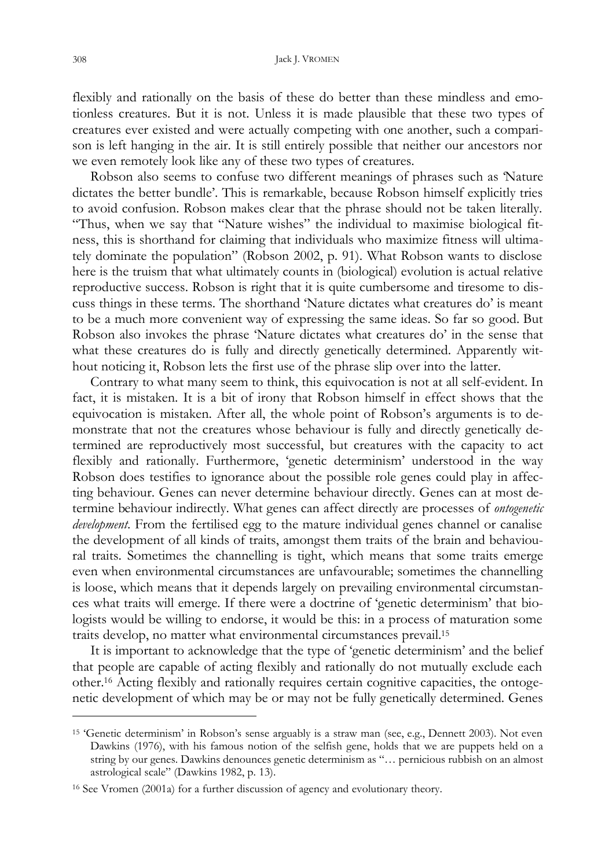flexibly and rationally on the basis of these do better than these mindless and emotionless creatures. But it is not. Unless it is made plausible that these two types of creatures ever existed and were actually competing with one another, such a comparison is left hanging in the air. It is still entirely possible that neither our ancestors nor we even remotely look like any of these two types of creatures.

Robson also seems to confuse two different meanings of phrases such as 'Nature dictates the better bundle'. This is remarkable, because Robson himself explicitly tries to avoid confusion. Robson makes clear that the phrase should not be taken literally. "Thus, when we say that "Nature wishes" the individual to maximise biological fitness, this is shorthand for claiming that individuals who maximize fitness will ultimately dominate the population" (Robson 2002, p. 91). What Robson wants to disclose here is the truism that what ultimately counts in (biological) evolution is actual relative reproductive success. Robson is right that it is quite cumbersome and tiresome to discuss things in these terms. The shorthand 'Nature dictates what creatures do' is meant to be a much more convenient way of expressing the same ideas. So far so good. But Robson also invokes the phrase 'Nature dictates what creatures do' in the sense that what these creatures do is fully and directly genetically determined. Apparently without noticing it, Robson lets the first use of the phrase slip over into the latter.

Contrary to what many seem to think, this equivocation is not at all self-evident. In fact, it is mistaken. It is a bit of irony that Robson himself in effect shows that the equivocation is mistaken. After all, the whole point of Robson's arguments is to demonstrate that not the creatures whose behaviour is fully and directly genetically determined are reproductively most successful, but creatures with the capacity to act flexibly and rationally. Furthermore, 'genetic determinism' understood in the way Robson does testifies to ignorance about the possible role genes could play in affecting behaviour. Genes can never determine behaviour directly. Genes can at most determine behaviour indirectly. What genes can affect directly are processes of *ontogenetic development*. From the fertilised egg to the mature individual genes channel or canalise the development of all kinds of traits, amongst them traits of the brain and behavioural traits. Sometimes the channelling is tight, which means that some traits emerge even when environmental circumstances are unfavourable; sometimes the channelling is loose, which means that it depends largely on prevailing environmental circumstances what traits will emerge. If there were a doctrine of 'genetic determinism' that biologists would be willing to endorse, it would be this: in a process of maturation some traits develop, no matter what environmental circumstances prevail.<sup>15</sup>

It is important to acknowledge that the type of 'genetic determinism' and the belief that people are capable of acting flexibly and rationally do not mutually exclude each other.16 Acting flexibly and rationally requires certain cognitive capacities, the ontogenetic development of which may be or may not be fully genetically determined. Genes

<sup>15</sup> 'Genetic determinism' in Robson's sense arguably is a straw man (see, e.g., Dennett 2003). Not even Dawkins (1976), with his famous notion of the selfish gene, holds that we are puppets held on a string by our genes. Dawkins denounces genetic determinism as "… pernicious rubbish on an almost astrological scale" (Dawkins 1982, p. 13).

<sup>16</sup> See Vromen (2001a) for a further discussion of agency and evolutionary theory.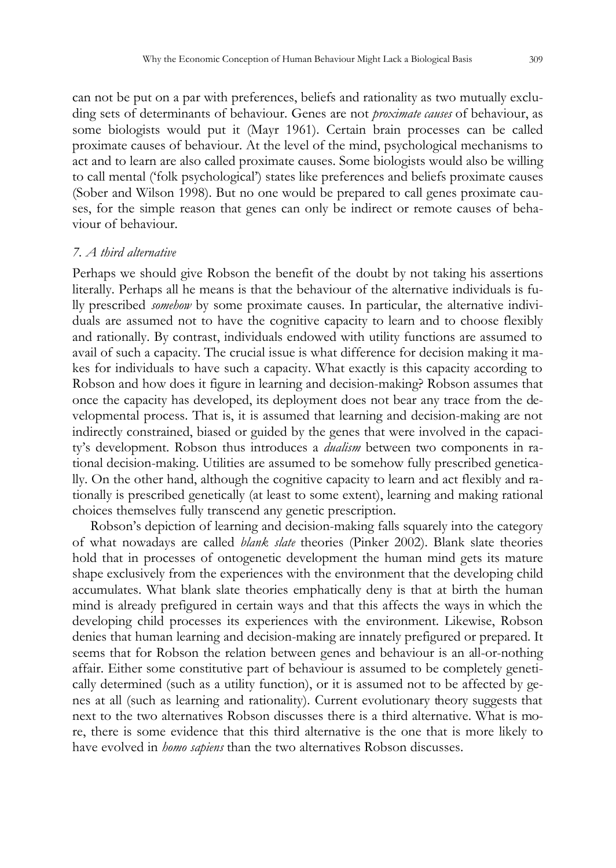can not be put on a par with preferences, beliefs and rationality as two mutually excluding sets of determinants of behaviour. Genes are not *proximate causes* of behaviour, as some biologists would put it (Mayr 1961). Certain brain processes can be called proximate causes of behaviour. At the level of the mind, psychological mechanisms to act and to learn are also called proximate causes. Some biologists would also be willing to call mental ('folk psychological') states like preferences and beliefs proximate causes (Sober and Wilson 1998). But no one would be prepared to call genes proximate causes, for the simple reason that genes can only be indirect or remote causes of behaviour of behaviour.

#### *7. A third alternative*

Perhaps we should give Robson the benefit of the doubt by not taking his assertions literally. Perhaps all he means is that the behaviour of the alternative individuals is fully prescribed *somehow* by some proximate causes. In particular, the alternative individuals are assumed not to have the cognitive capacity to learn and to choose flexibly and rationally. By contrast, individuals endowed with utility functions are assumed to avail of such a capacity. The crucial issue is what difference for decision making it makes for individuals to have such a capacity. What exactly is this capacity according to Robson and how does it figure in learning and decision-making? Robson assumes that once the capacity has developed, its deployment does not bear any trace from the developmental process. That is, it is assumed that learning and decision-making are not indirectly constrained, biased or guided by the genes that were involved in the capacity's development. Robson thus introduces a *dualism* between two components in rational decision-making. Utilities are assumed to be somehow fully prescribed genetically. On the other hand, although the cognitive capacity to learn and act flexibly and rationally is prescribed genetically (at least to some extent), learning and making rational choices themselves fully transcend any genetic prescription.

Robson's depiction of learning and decision-making falls squarely into the category of what nowadays are called *blank slate* theories (Pinker 2002). Blank slate theories hold that in processes of ontogenetic development the human mind gets its mature shape exclusively from the experiences with the environment that the developing child accumulates. What blank slate theories emphatically deny is that at birth the human mind is already prefigured in certain ways and that this affects the ways in which the developing child processes its experiences with the environment. Likewise, Robson denies that human learning and decision-making are innately prefigured or prepared. It seems that for Robson the relation between genes and behaviour is an all-or-nothing affair. Either some constitutive part of behaviour is assumed to be completely genetically determined (such as a utility function), or it is assumed not to be affected by genes at all (such as learning and rationality). Current evolutionary theory suggests that next to the two alternatives Robson discusses there is a third alternative. What is more, there is some evidence that this third alternative is the one that is more likely to have evolved in *homo sapiens* than the two alternatives Robson discusses.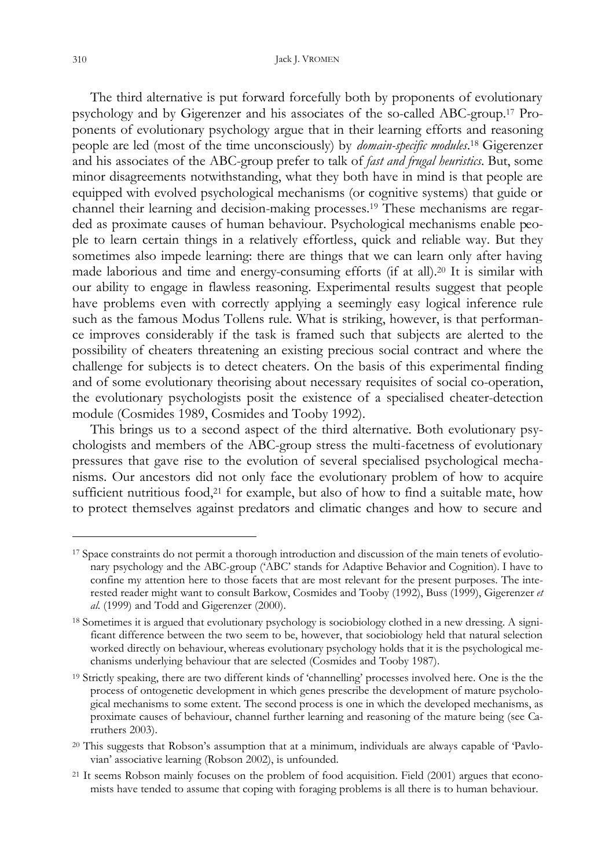The third alternative is put forward forcefully both by proponents of evolutionary psychology and by Gigerenzer and his associates of the so-called ABC-group.17 Proponents of evolutionary psychology argue that in their learning efforts and reasoning people are led (most of the time unconsciously) by *domain-specific modules*. <sup>18</sup> Gigerenzer and his associates of the ABC-group prefer to talk of *fast and frugal heuristics*. But, some minor disagreements notwithstanding, what they both have in mind is that people are equipped with evolved psychological mechanisms (or cognitive systems) that guide or channel their learning and decision-making processes.19 These mechanisms are regarded as proximate causes of human behaviour. Psychological mechanisms enable people to learn certain things in a relatively effortless, quick and reliable way. But they sometimes also impede learning: there are things that we can learn only after having made laborious and time and energy-consuming efforts (if at all).20 It is similar with our ability to engage in flawless reasoning. Experimental results suggest that people have problems even with correctly applying a seemingly easy logical inference rule such as the famous Modus Tollens rule. What is striking, however, is that performance improves considerably if the task is framed such that subjects are alerted to the possibility of cheaters threatening an existing precious social contract and where the challenge for subjects is to detect cheaters. On the basis of this experimental finding and of some evolutionary theorising about necessary requisites of social co-operation, the evolutionary psychologists posit the existence of a specialised cheater-detection module (Cosmides 1989, Cosmides and Tooby 1992).

This brings us to a second aspect of the third alternative. Both evolutionary psychologists and members of the ABC-group stress the multi-facetness of evolutionary pressures that gave rise to the evolution of several specialised psychological mechanisms. Our ancestors did not only face the evolutionary problem of how to acquire sufficient nutritious food,<sup>21</sup> for example, but also of how to find a suitable mate, how to protect themselves against predators and climatic changes and how to secure and

<sup>17</sup> Space constraints do not permit a thorough introduction and discussion of the main tenets of evolutionary psychology and the ABC-group ('ABC' stands for Adaptive Behavior and Cognition). I have to confine my attention here to those facets that are most relevant for the present purposes. The interested reader might want to consult Barkow, Cosmides and Tooby (1992), Buss (1999), Gigerenzer *et al.* (1999) and Todd and Gigerenzer (2000).

<sup>&</sup>lt;sup>18</sup> Sometimes it is argued that evolutionary psychology is sociobiology clothed in a new dressing. A significant difference between the two seem to be, however, that sociobiology held that natural selection worked directly on behaviour, whereas evolutionary psychology holds that it is the psychological mechanisms underlying behaviour that are selected (Cosmides and Tooby 1987).

<sup>19</sup> Strictly speaking, there are two different kinds of 'channelling' processes involved here. One is the the process of ontogenetic development in which genes prescribe the development of mature psychological mechanisms to some extent. The second process is one in which the developed mechanisms, as proximate causes of behaviour, channel further learning and reasoning of the mature being (see Carruthers 2003).

<sup>20</sup> This suggests that Robson's assumption that at a minimum, individuals are always capable of 'Pavlovian' associative learning (Robson 2002), is unfounded.

<sup>21</sup> It seems Robson mainly focuses on the problem of food acquisition. Field (2001) argues that economists have tended to assume that coping with foraging problems is all there is to human behaviour.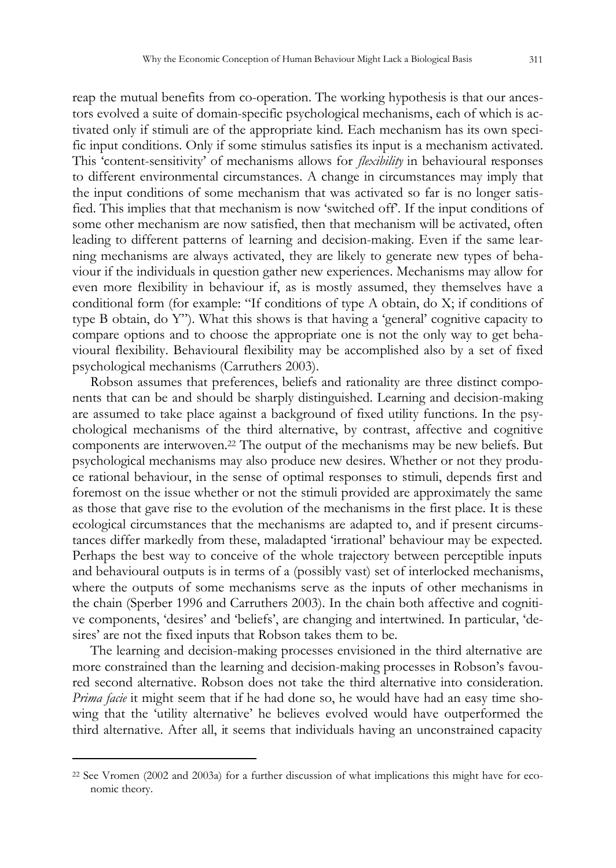reap the mutual benefits from co-operation. The working hypothesis is that our ancestors evolved a suite of domain-specific psychological mechanisms, each of which is activated only if stimuli are of the appropriate kind. Each mechanism has its own specific input conditions. Only if some stimulus satisfies its input is a mechanism activated. This 'content-sensitivity' of mechanisms allows for *flexibility* in behavioural responses to different environmental circumstances. A change in circumstances may imply that the input conditions of some mechanism that was activated so far is no longer satisfied. This implies that that mechanism is now 'switched off'. If the input conditions of some other mechanism are now satisfied, then that mechanism will be activated, often leading to different patterns of learning and decision-making. Even if the same learning mechanisms are always activated, they are likely to generate new types of behaviour if the individuals in question gather new experiences. Mechanisms may allow for even more flexibility in behaviour if, as is mostly assumed, they themselves have a conditional form (for example: "If conditions of type A obtain, do X; if conditions of type B obtain, do Y"). What this shows is that having a 'general' cognitive capacity to compare options and to choose the appropriate one is not the only way to get behavioural flexibility. Behavioural flexibility may be accomplished also by a set of fixed psychological mechanisms (Carruthers 2003).

Robson assumes that preferences, beliefs and rationality are three distinct components that can be and should be sharply distinguished. Learning and decision-making are assumed to take place against a background of fixed utility functions. In the psychological mechanisms of the third alternative, by contrast, affective and cognitive components are interwoven.22 The output of the mechanisms may be new beliefs. But psychological mechanisms may also produce new desires. Whether or not they produce rational behaviour, in the sense of optimal responses to stimuli, depends first and foremost on the issue whether or not the stimuli provided are approximately the same as those that gave rise to the evolution of the mechanisms in the first place. It is these ecological circumstances that the mechanisms are adapted to, and if present circumstances differ markedly from these, maladapted 'irrational' behaviour may be expected. Perhaps the best way to conceive of the whole trajectory between perceptible inputs and behavioural outputs is in terms of a (possibly vast) set of interlocked mechanisms, where the outputs of some mechanisms serve as the inputs of other mechanisms in the chain (Sperber 1996 and Carruthers 2003). In the chain both affective and cognitive components, 'desires' and 'beliefs', are changing and intertwined. In particular, 'desires' are not the fixed inputs that Robson takes them to be.

The learning and decision-making processes envisioned in the third alternative are more constrained than the learning and decision-making processes in Robson's favoured second alternative. Robson does not take the third alternative into consideration. *Prima facie* it might seem that if he had done so, he would have had an easy time showing that the 'utility alternative' he believes evolved would have outperformed the third alternative. After all, it seems that individuals having an unconstrained capacity

<sup>22</sup> See Vromen (2002 and 2003a) for a further discussion of what implications this might have for economic theory.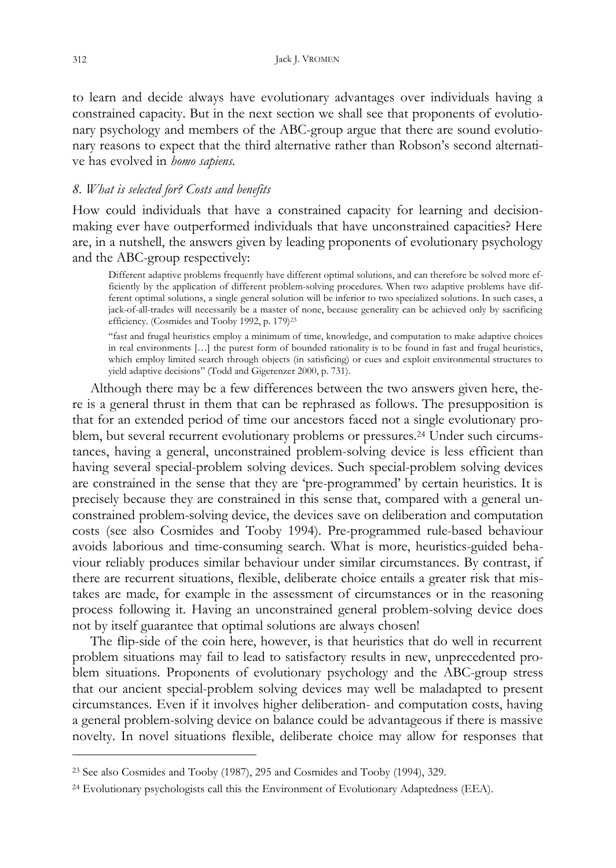to learn and decide always have evolutionary advantages over individuals having a constrained capacity. But in the next section we shall see that proponents of evolutionary psychology and members of the ABC-group argue that there are sound evolutionary reasons to expect that the third alternative rather than Robson's second alternative has evolved in *homo sapiens*.

# *8. What is selected for? Costs and benefits*

How could individuals that have a constrained capacity for learning and decisionmaking ever have outperformed individuals that have unconstrained capacities? Here are, in a nutshell, the answers given by leading proponents of evolutionary psychology and the ABC-group respectively:

Different adaptive problems frequently have different optimal solutions, and can therefore be solved more efficiently by the application of different problem-solving procedures. When two adaptive problems have different optimal solutions, a single general solution will be inferior to two specialized solutions. In such cases, a jack-of-all-trades will necessarily be a master of none, because generality can be achieved only by sacrificing efficiency. (Cosmides and Tooby 1992, p. 179)<sup>23</sup>

"fast and frugal heuristics employ a minimum of time, knowledge, and computation to make adaptive choices in real environments […] the purest form of bounded rationality is to be found in fast and frugal heuristics, which employ limited search through objects (in satisficing) or cues and exploit environmental structures to yield adaptive decisions" (Todd and Gigerenzer 2000, p. 731).

Although there may be a few differences between the two answers given here, there is a general thrust in them that can be rephrased as follows. The presupposition is that for an extended period of time our ancestors faced not a single evolutionary problem, but several recurrent evolutionary problems or pressures.24 Under such circumstances, having a general, unconstrained problem-solving device is less efficient than having several special-problem solving devices. Such special-problem solving devices are constrained in the sense that they are 'pre-programmed' by certain heuristics. It is precisely because they are constrained in this sense that, compared with a general unconstrained problem-solving device, the devices save on deliberation and computation costs (see also Cosmides and Tooby 1994). Pre-programmed rule-based behaviour avoids laborious and time-consuming search. What is more, heuristics-guided behaviour reliably produces similar behaviour under similar circumstances. By contrast, if there are recurrent situations, flexible, deliberate choice entails a greater risk that mistakes are made, for example in the assessment of circumstances or in the reasoning process following it. Having an unconstrained general problem-solving device does not by itself guarantee that optimal solutions are always chosen!

The flip-side of the coin here, however, is that heuristics that do well in recurrent problem situations may fail to lead to satisfactory results in new, unprecedented problem situations. Proponents of evolutionary psychology and the ABC-group stress that our ancient special-problem solving devices may well be maladapted to present circumstances. Even if it involves higher deliberation- and computation costs, having a general problem-solving device on balance could be advantageous if there is massive novelty. In novel situations flexible, deliberate choice may allow for responses that

<sup>23</sup> See also Cosmides and Tooby (1987), 295 and Cosmides and Tooby (1994), 329.

<sup>24</sup> Evolutionary psychologists call this the Environment of Evolutionary Adaptedness (EEA).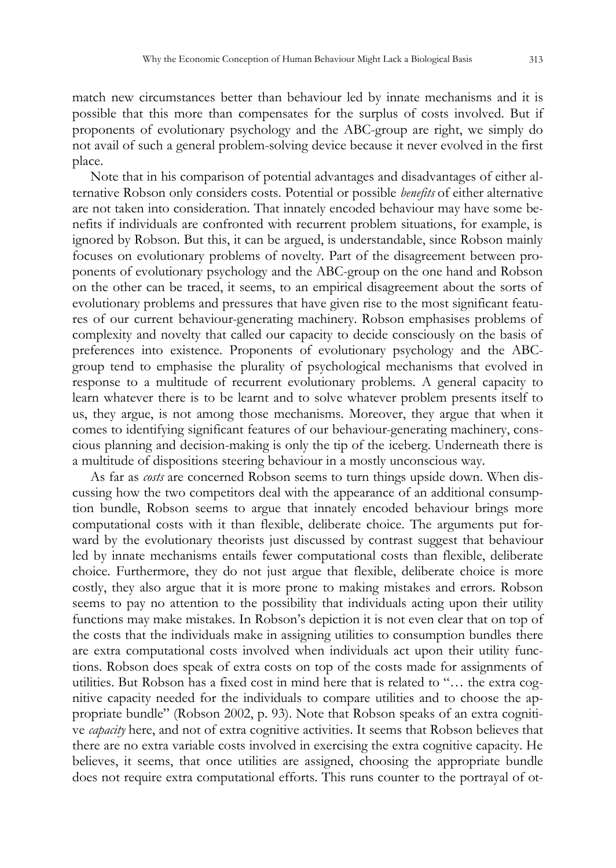match new circumstances better than behaviour led by innate mechanisms and it is possible that this more than compensates for the surplus of costs involved. But if proponents of evolutionary psychology and the ABC-group are right, we simply do not avail of such a general problem-solving device because it never evolved in the first place.

Note that in his comparison of potential advantages and disadvantages of either alternative Robson only considers costs. Potential or possible *benefits* of either alternative are not taken into consideration. That innately encoded behaviour may have some benefits if individuals are confronted with recurrent problem situations, for example, is ignored by Robson. But this, it can be argued, is understandable, since Robson mainly focuses on evolutionary problems of novelty. Part of the disagreement between proponents of evolutionary psychology and the ABC-group on the one hand and Robson on the other can be traced, it seems, to an empirical disagreement about the sorts of evolutionary problems and pressures that have given rise to the most significant features of our current behaviour-generating machinery. Robson emphasises problems of complexity and novelty that called our capacity to decide consciously on the basis of preferences into existence. Proponents of evolutionary psychology and the ABCgroup tend to emphasise the plurality of psychological mechanisms that evolved in response to a multitude of recurrent evolutionary problems. A general capacity to learn whatever there is to be learnt and to solve whatever problem presents itself to us, they argue, is not among those mechanisms. Moreover, they argue that when it comes to identifying significant features of our behaviour-generating machinery, conscious planning and decision-making is only the tip of the iceberg. Underneath there is a multitude of dispositions steering behaviour in a mostly unconscious way.

As far as *costs* are concerned Robson seems to turn things upside down. When discussing how the two competitors deal with the appearance of an additional consumption bundle, Robson seems to argue that innately encoded behaviour brings more computational costs with it than flexible, deliberate choice. The arguments put forward by the evolutionary theorists just discussed by contrast suggest that behaviour led by innate mechanisms entails fewer computational costs than flexible, deliberate choice. Furthermore, they do not just argue that flexible, deliberate choice is more costly, they also argue that it is more prone to making mistakes and errors. Robson seems to pay no attention to the possibility that individuals acting upon their utility functions may make mistakes. In Robson's depiction it is not even clear that on top of the costs that the individuals make in assigning utilities to consumption bundles there are extra computational costs involved when individuals act upon their utility functions. Robson does speak of extra costs on top of the costs made for assignments of utilities. But Robson has a fixed cost in mind here that is related to "… the extra cognitive capacity needed for the individuals to compare utilities and to choose the appropriate bundle" (Robson 2002, p. 93). Note that Robson speaks of an extra cognitive *capacity* here, and not of extra cognitive activities. It seems that Robson believes that there are no extra variable costs involved in exercising the extra cognitive capacity. He believes, it seems, that once utilities are assigned, choosing the appropriate bundle does not require extra computational efforts. This runs counter to the portrayal of ot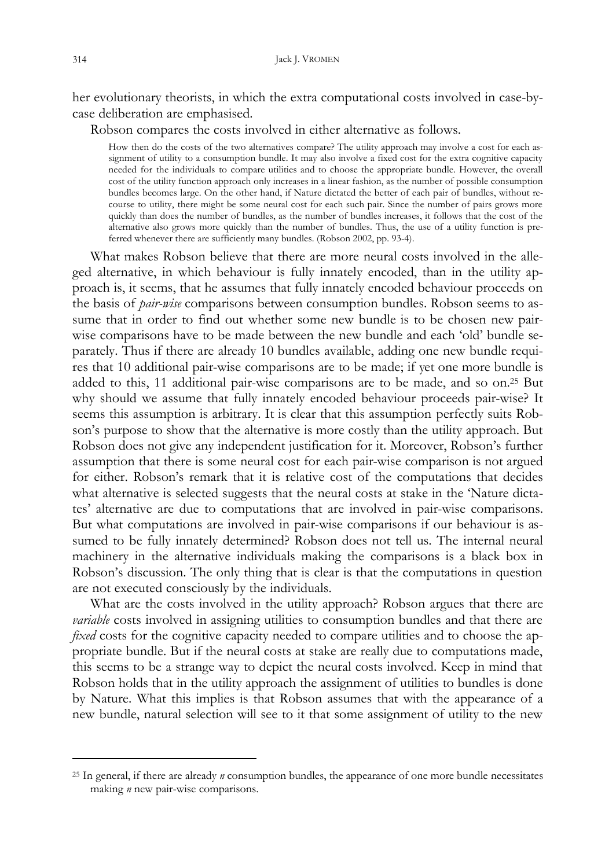her evolutionary theorists, in which the extra computational costs involved in case-bycase deliberation are emphasised.

Robson compares the costs involved in either alternative as follows.

How then do the costs of the two alternatives compare? The utility approach may involve a cost for each assignment of utility to a consumption bundle. It may also involve a fixed cost for the extra cognitive capacity needed for the individuals to compare utilities and to choose the appropriate bundle. However, the overall cost of the utility function approach only increases in a linear fashion, as the number of possible consumption bundles becomes large. On the other hand, if Nature dictated the better of each pair of bundles, without recourse to utility, there might be some neural cost for each such pair. Since the number of pairs grows more quickly than does the number of bundles, as the number of bundles increases, it follows that the cost of the alternative also grows more quickly than the number of bundles. Thus, the use of a utility function is preferred whenever there are sufficiently many bundles. (Robson 2002, pp. 93-4).

What makes Robson believe that there are more neural costs involved in the alleged alternative, in which behaviour is fully innately encoded, than in the utility approach is, it seems, that he assumes that fully innately encoded behaviour proceeds on the basis of *pair-wise* comparisons between consumption bundles. Robson seems to assume that in order to find out whether some new bundle is to be chosen new pairwise comparisons have to be made between the new bundle and each 'old' bundle separately. Thus if there are already 10 bundles available, adding one new bundle requires that 10 additional pair-wise comparisons are to be made; if yet one more bundle is added to this, 11 additional pair-wise comparisons are to be made, and so on.25 But why should we assume that fully innately encoded behaviour proceeds pair-wise? It seems this assumption is arbitrary. It is clear that this assumption perfectly suits Robson's purpose to show that the alternative is more costly than the utility approach. But Robson does not give any independent justification for it. Moreover, Robson's further assumption that there is some neural cost for each pair-wise comparison is not argued for either. Robson's remark that it is relative cost of the computations that decides what alternative is selected suggests that the neural costs at stake in the 'Nature dictates' alternative are due to computations that are involved in pair-wise comparisons. But what computations are involved in pair-wise comparisons if our behaviour is assumed to be fully innately determined? Robson does not tell us. The internal neural machinery in the alternative individuals making the comparisons is a black box in Robson's discussion. The only thing that is clear is that the computations in question are not executed consciously by the individuals.

What are the costs involved in the utility approach? Robson argues that there are *variable* costs involved in assigning utilities to consumption bundles and that there are *fixed* costs for the cognitive capacity needed to compare utilities and to choose the appropriate bundle. But if the neural costs at stake are really due to computations made, this seems to be a strange way to depict the neural costs involved. Keep in mind that Robson holds that in the utility approach the assignment of utilities to bundles is done by Nature. What this implies is that Robson assumes that with the appearance of a new bundle, natural selection will see to it that some assignment of utility to the new

<sup>25</sup> In general, if there are already *n* consumption bundles, the appearance of one more bundle necessitates making *n* new pair-wise comparisons.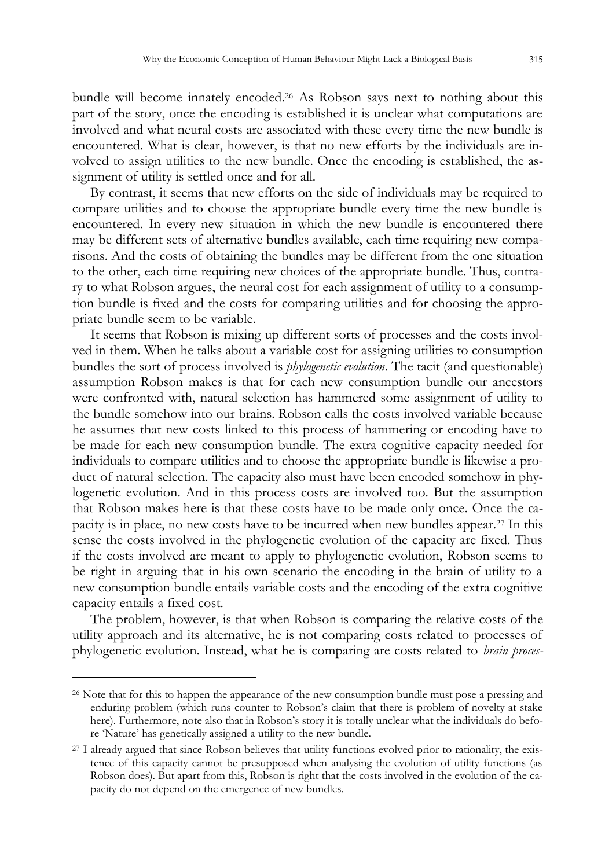bundle will become innately encoded.26 As Robson says next to nothing about this part of the story, once the encoding is established it is unclear what computations are involved and what neural costs are associated with these every time the new bundle is encountered. What is clear, however, is that no new efforts by the individuals are involved to assign utilities to the new bundle. Once the encoding is established, the assignment of utility is settled once and for all.

By contrast, it seems that new efforts on the side of individuals may be required to compare utilities and to choose the appropriate bundle every time the new bundle is encountered. In every new situation in which the new bundle is encountered there may be different sets of alternative bundles available, each time requiring new comparisons. And the costs of obtaining the bundles may be different from the one situation to the other, each time requiring new choices of the appropriate bundle. Thus, contrary to what Robson argues, the neural cost for each assignment of utility to a consumption bundle is fixed and the costs for comparing utilities and for choosing the appropriate bundle seem to be variable.

It seems that Robson is mixing up different sorts of processes and the costs involved in them. When he talks about a variable cost for assigning utilities to consumption bundles the sort of process involved is *phylogenetic evolution*. The tacit (and questionable) assumption Robson makes is that for each new consumption bundle our ancestors were confronted with, natural selection has hammered some assignment of utility to the bundle somehow into our brains. Robson calls the costs involved variable because he assumes that new costs linked to this process of hammering or encoding have to be made for each new consumption bundle. The extra cognitive capacity needed for individuals to compare utilities and to choose the appropriate bundle is likewise a product of natural selection. The capacity also must have been encoded somehow in phylogenetic evolution. And in this process costs are involved too. But the assumption that Robson makes here is that these costs have to be made only once. Once the capacity is in place, no new costs have to be incurred when new bundles appear.27 In this sense the costs involved in the phylogenetic evolution of the capacity are fixed. Thus if the costs involved are meant to apply to phylogenetic evolution, Robson seems to be right in arguing that in his own scenario the encoding in the brain of utility to a new consumption bundle entails variable costs and the encoding of the extra cognitive capacity entails a fixed cost.

The problem, however, is that when Robson is comparing the relative costs of the utility approach and its alternative, he is not comparing costs related to processes of phylogenetic evolution. Instead, what he is comparing are costs related to *brain proces-*

<sup>26</sup> Note that for this to happen the appearance of the new consumption bundle must pose a pressing and enduring problem (which runs counter to Robson's claim that there is problem of novelty at stake here). Furthermore, note also that in Robson's story it is totally unclear what the individuals do before 'Nature' has genetically assigned a utility to the new bundle.

<sup>27</sup> I already argued that since Robson believes that utility functions evolved prior to rationality, the existence of this capacity cannot be presupposed when analysing the evolution of utility functions (as Robson does). But apart from this, Robson is right that the costs involved in the evolution of the capacity do not depend on the emergence of new bundles.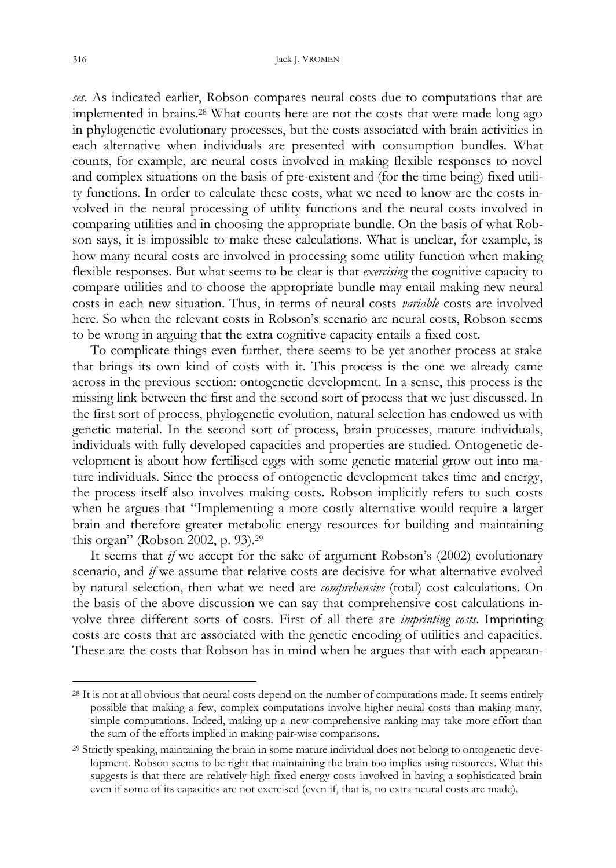*ses*. As indicated earlier, Robson compares neural costs due to computations that are implemented in brains.28 What counts here are not the costs that were made long ago in phylogenetic evolutionary processes, but the costs associated with brain activities in each alternative when individuals are presented with consumption bundles. What counts, for example, are neural costs involved in making flexible responses to novel and complex situations on the basis of pre-existent and (for the time being) fixed utility functions. In order to calculate these costs, what we need to know are the costs involved in the neural processing of utility functions and the neural costs involved in comparing utilities and in choosing the appropriate bundle. On the basis of what Robson says, it is impossible to make these calculations. What is unclear, for example, is how many neural costs are involved in processing some utility function when making flexible responses. But what seems to be clear is that *exercising* the cognitive capacity to compare utilities and to choose the appropriate bundle may entail making new neural costs in each new situation. Thus, in terms of neural costs *variable* costs are involved here. So when the relevant costs in Robson's scenario are neural costs, Robson seems to be wrong in arguing that the extra cognitive capacity entails a fixed cost.

To complicate things even further, there seems to be yet another process at stake that brings its own kind of costs with it. This process is the one we already came across in the previous section: ontogenetic development. In a sense, this process is the missing link between the first and the second sort of process that we just discussed. In the first sort of process, phylogenetic evolution, natural selection has endowed us with genetic material. In the second sort of process, brain processes, mature individuals, individuals with fully developed capacities and properties are studied. Ontogenetic development is about how fertilised eggs with some genetic material grow out into mature individuals. Since the process of ontogenetic development takes time and energy, the process itself also involves making costs. Robson implicitly refers to such costs when he argues that "Implementing a more costly alternative would require a larger brain and therefore greater metabolic energy resources for building and maintaining this organ" (Robson 2002, p. 93).<sup>29</sup>

It seems that *if* we accept for the sake of argument Robson's (2002) evolutionary scenario, and *if* we assume that relative costs are decisive for what alternative evolved by natural selection, then what we need are *comprehensive* (total) cost calculations. On the basis of the above discussion we can say that comprehensive cost calculations involve three different sorts of costs. First of all there are *imprinting costs*. Imprinting costs are costs that are associated with the genetic encoding of utilities and capacities. These are the costs that Robson has in mind when he argues that with each appearan-

<sup>&</sup>lt;sup>28</sup> It is not at all obvious that neural costs depend on the number of computations made. It seems entirely possible that making a few, complex computations involve higher neural costs than making many, simple computations. Indeed, making up a new comprehensive ranking may take more effort than the sum of the efforts implied in making pair-wise comparisons.

<sup>29</sup> Strictly speaking, maintaining the brain in some mature individual does not belong to ontogenetic development. Robson seems to be right that maintaining the brain too implies using resources. What this suggests is that there are relatively high fixed energy costs involved in having a sophisticated brain even if some of its capacities are not exercised (even if, that is, no extra neural costs are made).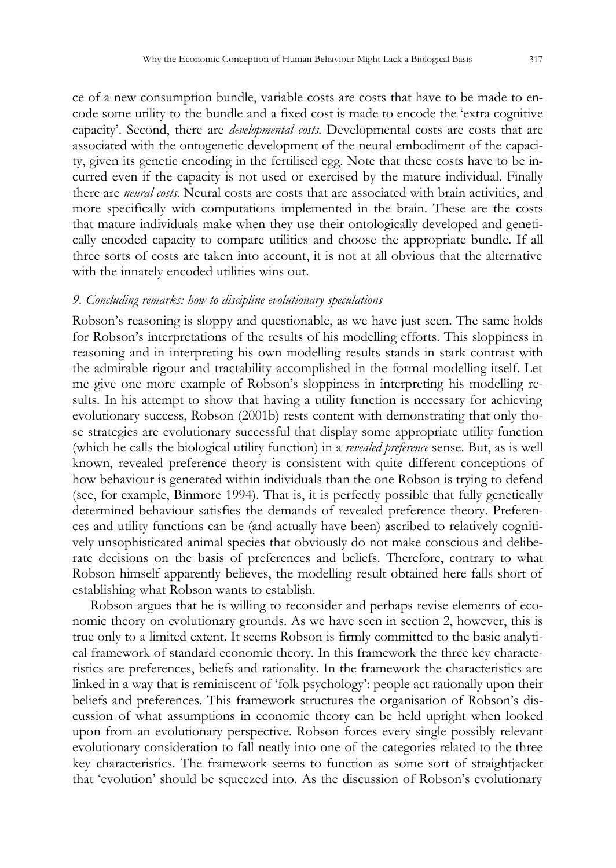ce of a new consumption bundle, variable costs are costs that have to be made to encode some utility to the bundle and a fixed cost is made to encode the 'extra cognitive capacity'. Second, there are *developmental costs*. Developmental costs are costs that are associated with the ontogenetic development of the neural embodiment of the capacity, given its genetic encoding in the fertilised egg. Note that these costs have to be incurred even if the capacity is not used or exercised by the mature individual. Finally there are *neural costs*. Neural costs are costs that are associated with brain activities, and more specifically with computations implemented in the brain. These are the costs that mature individuals make when they use their ontologically developed and genetically encoded capacity to compare utilities and choose the appropriate bundle. If all three sorts of costs are taken into account, it is not at all obvious that the alternative with the innately encoded utilities wins out.

#### *9. Concluding remarks: how to discipline evolutionary speculations*

Robson's reasoning is sloppy and questionable, as we have just seen. The same holds for Robson's interpretations of the results of his modelling efforts. This sloppiness in reasoning and in interpreting his own modelling results stands in stark contrast with the admirable rigour and tractability accomplished in the formal modelling itself. Let me give one more example of Robson's sloppiness in interpreting his modelling results. In his attempt to show that having a utility function is necessary for achieving evolutionary success, Robson (2001b) rests content with demonstrating that only those strategies are evolutionary successful that display some appropriate utility function (which he calls the biological utility function) in a *revealed preference* sense. But, as is well known, revealed preference theory is consistent with quite different conceptions of how behaviour is generated within individuals than the one Robson is trying to defend (see, for example, Binmore 1994). That is, it is perfectly possible that fully genetically determined behaviour satisfies the demands of revealed preference theory. Preferences and utility functions can be (and actually have been) ascribed to relatively cognitively unsophisticated animal species that obviously do not make conscious and deliberate decisions on the basis of preferences and beliefs. Therefore, contrary to what Robson himself apparently believes, the modelling result obtained here falls short of establishing what Robson wants to establish.

Robson argues that he is willing to reconsider and perhaps revise elements of economic theory on evolutionary grounds. As we have seen in section 2, however, this is true only to a limited extent. It seems Robson is firmly committed to the basic analytical framework of standard economic theory. In this framework the three key characteristics are preferences, beliefs and rationality. In the framework the characteristics are linked in a way that is reminiscent of 'folk psychology': people act rationally upon their beliefs and preferences. This framework structures the organisation of Robson's discussion of what assumptions in economic theory can be held upright when looked upon from an evolutionary perspective. Robson forces every single possibly relevant evolutionary consideration to fall neatly into one of the categories related to the three key characteristics. The framework seems to function as some sort of straightjacket that 'evolution' should be squeezed into. As the discussion of Robson's evolutionary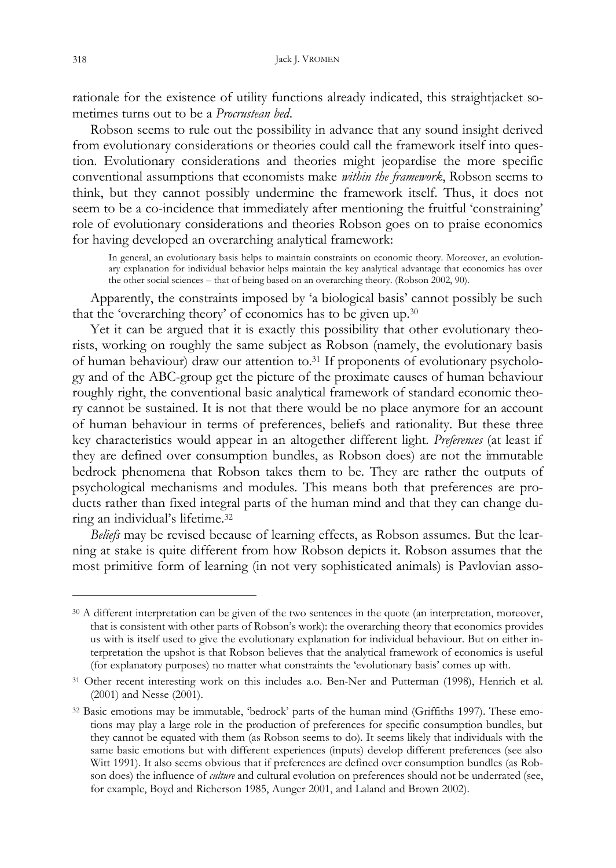rationale for the existence of utility functions already indicated, this straightjacket sometimes turns out to be a *Procrustean bed*.

Robson seems to rule out the possibility in advance that any sound insight derived from evolutionary considerations or theories could call the framework itself into question. Evolutionary considerations and theories might jeopardise the more specific conventional assumptions that economists make *within the framework*, Robson seems to think, but they cannot possibly undermine the framework itself. Thus, it does not seem to be a co-incidence that immediately after mentioning the fruitful 'constraining' role of evolutionary considerations and theories Robson goes on to praise economics for having developed an overarching analytical framework:

In general, an evolutionary basis helps to maintain constraints on economic theory. Moreover, an evolutionary explanation for individual behavior helps maintain the key analytical advantage that economics has over the other social sciences – that of being based on an overarching theory. (Robson 2002, 90).

Apparently, the constraints imposed by 'a biological basis' cannot possibly be such that the 'overarching theory' of economics has to be given up.<sup>30</sup>

Yet it can be argued that it is exactly this possibility that other evolutionary theorists, working on roughly the same subject as Robson (namely, the evolutionary basis of human behaviour) draw our attention to.31 If proponents of evolutionary psychology and of the ABC-group get the picture of the proximate causes of human behaviour roughly right, the conventional basic analytical framework of standard economic theory cannot be sustained. It is not that there would be no place anymore for an account of human behaviour in terms of preferences, beliefs and rationality. But these three key characteristics would appear in an altogether different light. *Preferences* (at least if they are defined over consumption bundles, as Robson does) are not the immutable bedrock phenomena that Robson takes them to be. They are rather the outputs of psychological mechanisms and modules. This means both that preferences are products rather than fixed integral parts of the human mind and that they can change during an individual's lifetime.<sup>32</sup>

*Beliefs* may be revised because of learning effects, as Robson assumes. But the learning at stake is quite different from how Robson depicts it. Robson assumes that the most primitive form of learning (in not very sophisticated animals) is Pavlovian asso-

<sup>&</sup>lt;sup>30</sup> A different interpretation can be given of the two sentences in the quote (an interpretation, moreover, that is consistent with other parts of Robson's work): the overarching theory that economics provides us with is itself used to give the evolutionary explanation for individual behaviour. But on either interpretation the upshot is that Robson believes that the analytical framework of economics is useful (for explanatory purposes) no matter what constraints the 'evolutionary basis' comes up with.

<sup>31</sup> Other recent interesting work on this includes a.o. Ben-Ner and Putterman (1998), Henrich et al. (2001) and Nesse (2001).

<sup>32</sup> Basic emotions may be immutable, 'bedrock' parts of the human mind (Griffiths 1997). These emotions may play a large role in the production of preferences for specific consumption bundles, but they cannot be equated with them (as Robson seems to do). It seems likely that individuals with the same basic emotions but with different experiences (inputs) develop different preferences (see also Witt 1991). It also seems obvious that if preferences are defined over consumption bundles (as Robson does) the influence of *culture* and cultural evolution on preferences should not be underrated (see, for example, Boyd and Richerson 1985, Aunger 2001, and Laland and Brown 2002).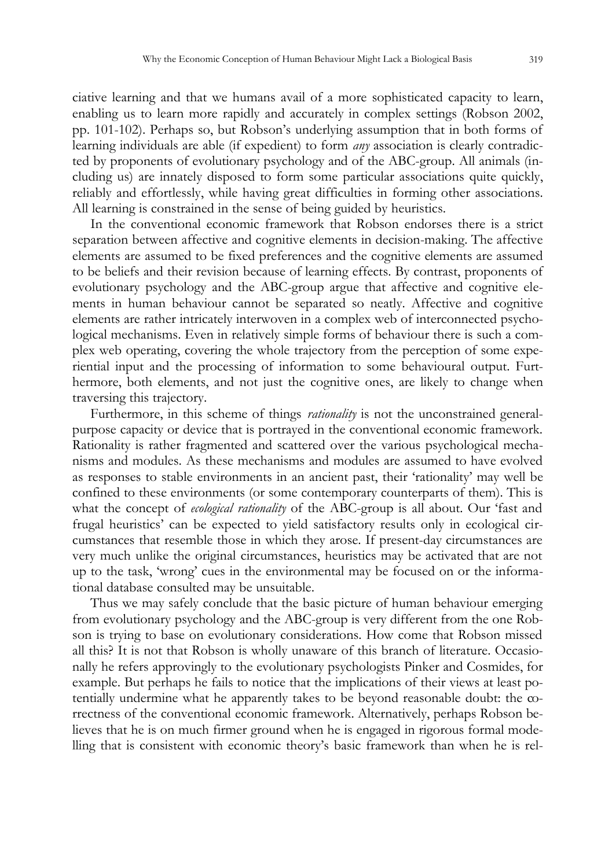ciative learning and that we humans avail of a more sophisticated capacity to learn, enabling us to learn more rapidly and accurately in complex settings (Robson 2002, pp. 101-102). Perhaps so, but Robson's underlying assumption that in both forms of learning individuals are able (if expedient) to form *any* association is clearly contradicted by proponents of evolutionary psychology and of the ABC-group. All animals (including us) are innately disposed to form some particular associations quite quickly, reliably and effortlessly, while having great difficulties in forming other associations. All learning is constrained in the sense of being guided by heuristics.

In the conventional economic framework that Robson endorses there is a strict separation between affective and cognitive elements in decision-making. The affective elements are assumed to be fixed preferences and the cognitive elements are assumed to be beliefs and their revision because of learning effects. By contrast, proponents of evolutionary psychology and the ABC-group argue that affective and cognitive elements in human behaviour cannot be separated so neatly. Affective and cognitive elements are rather intricately interwoven in a complex web of interconnected psychological mechanisms. Even in relatively simple forms of behaviour there is such a complex web operating, covering the whole trajectory from the perception of some experiential input and the processing of information to some behavioural output. Furthermore, both elements, and not just the cognitive ones, are likely to change when traversing this trajectory.

Furthermore, in this scheme of things *rationality* is not the unconstrained generalpurpose capacity or device that is portrayed in the conventional economic framework. Rationality is rather fragmented and scattered over the various psychological mechanisms and modules. As these mechanisms and modules are assumed to have evolved as responses to stable environments in an ancient past, their 'rationality' may well be confined to these environments (or some contemporary counterparts of them). This is what the concept of *ecological rationality* of the ABC-group is all about. Our 'fast and frugal heuristics' can be expected to yield satisfactory results only in ecological circumstances that resemble those in which they arose. If present-day circumstances are very much unlike the original circumstances, heuristics may be activated that are not up to the task, 'wrong' cues in the environmental may be focused on or the informational database consulted may be unsuitable.

Thus we may safely conclude that the basic picture of human behaviour emerging from evolutionary psychology and the ABC-group is very different from the one Robson is trying to base on evolutionary considerations. How come that Robson missed all this? It is not that Robson is wholly unaware of this branch of literature. Occasionally he refers approvingly to the evolutionary psychologists Pinker and Cosmides, for example. But perhaps he fails to notice that the implications of their views at least potentially undermine what he apparently takes to be beyond reasonable doubt: the correctness of the conventional economic framework. Alternatively, perhaps Robson believes that he is on much firmer ground when he is engaged in rigorous formal modelling that is consistent with economic theory's basic framework than when he is rel-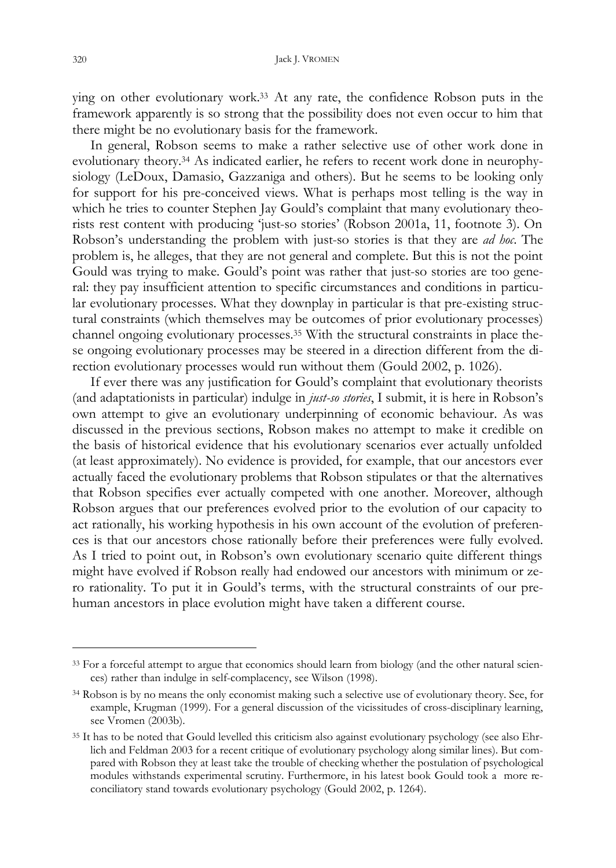ying on other evolutionary work.33 At any rate, the confidence Robson puts in the framework apparently is so strong that the possibility does not even occur to him that there might be no evolutionary basis for the framework.

In general, Robson seems to make a rather selective use of other work done in evolutionary theory.34 As indicated earlier, he refers to recent work done in neurophysiology (LeDoux, Damasio, Gazzaniga and others). But he seems to be looking only for support for his pre-conceived views. What is perhaps most telling is the way in which he tries to counter Stephen Jay Gould's complaint that many evolutionary theorists rest content with producing 'just-so stories' (Robson 2001a, 11, footnote 3). On Robson's understanding the problem with just-so stories is that they are *ad hoc*. The problem is, he alleges, that they are not general and complete. But this is not the point Gould was trying to make. Gould's point was rather that just-so stories are too general: they pay insufficient attention to specific circumstances and conditions in particular evolutionary processes. What they downplay in particular is that pre-existing structural constraints (which themselves may be outcomes of prior evolutionary processes) channel ongoing evolutionary processes.35 With the structural constraints in place these ongoing evolutionary processes may be steered in a direction different from the direction evolutionary processes would run without them (Gould 2002, p. 1026).

If ever there was any justification for Gould's complaint that evolutionary theorists (and adaptationists in particular) indulge in *just-so stories*, I submit, it is here in Robson's own attempt to give an evolutionary underpinning of economic behaviour. As was discussed in the previous sections, Robson makes no attempt to make it credible on the basis of historical evidence that his evolutionary scenarios ever actually unfolded (at least approximately). No evidence is provided, for example, that our ancestors ever actually faced the evolutionary problems that Robson stipulates or that the alternatives that Robson specifies ever actually competed with one another. Moreover, although Robson argues that our preferences evolved prior to the evolution of our capacity to act rationally, his working hypothesis in his own account of the evolution of preferences is that our ancestors chose rationally before their preferences were fully evolved. As I tried to point out, in Robson's own evolutionary scenario quite different things might have evolved if Robson really had endowed our ancestors with minimum or zero rationality. To put it in Gould's terms, with the structural constraints of our prehuman ancestors in place evolution might have taken a different course.

<sup>&</sup>lt;sup>33</sup> For a forceful attempt to argue that economics should learn from biology (and the other natural sciences) rather than indulge in self-complacency, see Wilson (1998).

<sup>34</sup> Robson is by no means the only economist making such a selective use of evolutionary theory. See, for example, Krugman (1999). For a general discussion of the vicissitudes of cross-disciplinary learning, see Vromen (2003b).

<sup>35</sup> It has to be noted that Gould levelled this criticism also against evolutionary psychology (see also Ehrlich and Feldman 2003 for a recent critique of evolutionary psychology along similar lines). But compared with Robson they at least take the trouble of checking whether the postulation of psychological modules withstands experimental scrutiny. Furthermore, in his latest book Gould took a more reconciliatory stand towards evolutionary psychology (Gould 2002, p. 1264).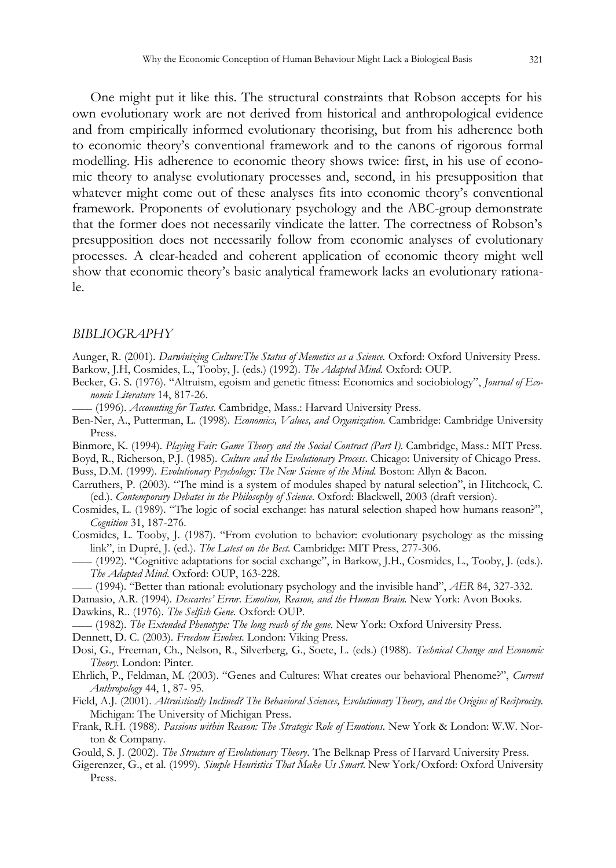One might put it like this. The structural constraints that Robson accepts for his own evolutionary work are not derived from historical and anthropological evidence and from empirically informed evolutionary theorising, but from his adherence both to economic theory's conventional framework and to the canons of rigorous formal modelling. His adherence to economic theory shows twice: first, in his use of economic theory to analyse evolutionary processes and, second, in his presupposition that whatever might come out of these analyses fits into economic theory's conventional framework. Proponents of evolutionary psychology and the ABC-group demonstrate that the former does not necessarily vindicate the latter. The correctness of Robson's presupposition does not necessarily follow from economic analyses of evolutionary processes. A clear-headed and coherent application of economic theory might well show that economic theory's basic analytical framework lacks an evolutionary rationale.

#### *BIBLIOGRAPHY*

Aunger, R. (2001). *Darwinizing Culture:The Status of Memetics as a Science.* Oxford: Oxford University Press. Barkow, J.H, Cosmides, L., Tooby, J. (eds.) (1992). *The Adapted Mind.* Oxford: OUP.

- Becker, G. S. (1976). "Altruism, egoism and genetic fitness: Economics and sociobiology", *Journal of Economic Literature* 14, 817-26.
- \_\_\_\_\_ (1996). *Accounting for Tastes*. Cambridge, Mass.: Harvard University Press.
- Ben-Ner, A., Putterman, L. (1998). *Economics, Values, and Organization.* Cambridge: Cambridge University Press.
- Binmore, K. (1994). *Playing Fair: Game Theory and the Social Contract (Part I)*. Cambridge, Mass.: MIT Press.

Boyd, R., Richerson, P.J. (1985). *Culture and the Evolutionary Process*. Chicago: University of Chicago Press. Buss, D.M. (1999). *Evolutionary Psychology: The New Science of the Mind.* Boston: Allyn & Bacon.

- Carruthers, P. (2003). "The mind is a system of modules shaped by natural selection", in Hitchcock, C. (ed.). *Contemporary Debates in the Philosophy of Science*. Oxford: Blackwell, 2003 (draft version).
- Cosmides, L. (1989). "The logic of social exchange: has natural selection shaped how humans reason?", *Cognition* 31, 187-276.
- Cosmides, L. Tooby, J. (1987). "From evolution to behavior: evolutionary psychology as the missing link", in Dupré, J. (ed.). *The Latest on the Best.* Cambridge: MIT Press, 277-306.
- \_\_\_\_\_ (1992). "Cognitive adaptations for social exchange", in Barkow, J.H., Cosmides, L., Tooby, J. (eds.). *The Adapted Mind*. Oxford: OUP, 163-228.
- \_\_\_\_\_ (1994). "Better than rational: evolutionary psychology and the invisible hand", *AER* 84, 327-332.

Damasio, A.R. (1994). *Descartes' Error*. *Emotion, Reason, and the Human Brain.* New York: Avon Books.

Dawkins, R.. (1976). *The Selfish Gene.* Oxford: OUP.

\_\_\_\_\_ (1982). *The Extended Phenotype: The long reach of the gene*. New York: Oxford University Press.

Dennett, D. C. (2003). *Freedom Evolves.* London: Viking Press.

Dosi, G., Freeman, Ch., Nelson, R., Silverberg, G., Soete, L. (eds.) (1988). *Technical Change and Economic Theory.* London: Pinter.

- Ehrlich, P., Feldman, M. (2003). "Genes and Cultures: What creates our behavioral Phenome?", *Current Anthropology* 44, 1, 87- 95.
- Field, A.J. (2001). *Altruistically Inclined? The Behavioral Sciences, Evolutionary Theory, and the Origins of Reciprocity.* Michigan: The University of Michigan Press.
- Frank, R.H. (1988). *Passions within Reason: The Strategic Role of Emotions.* New York & London: W.W. Norton & Company.
- Gould, S. J. (2002). *The Structure of Evolutionary Theory*. The Belknap Press of Harvard University Press.
- Gigerenzer, G., et al. (1999). *Simple Heuristics That Make Us Smart.* New York/Oxford: Oxford University Press.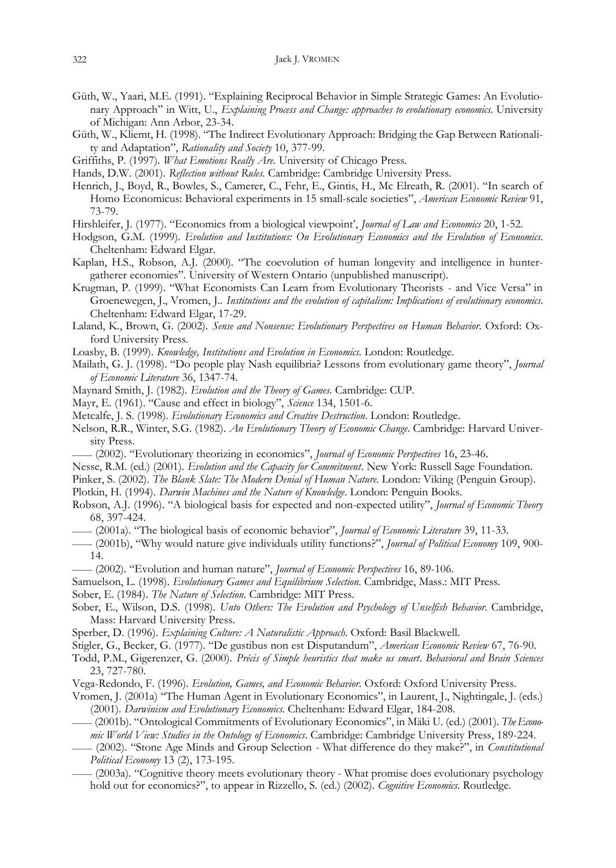- Güth, W., Yaari, M.E. (1991). "Explaining Reciprocal Behavior in Simple Strategic Games: An Evolutionary Approach" in Witt, U., *Explaining Process and Change: approaches to evolutionary economics.* University of Michigan: Ann Arbor, 23-34.
- Güth, W., Kliemt, H. (1998). "The Indirect Evolutionary Approach: Bridging the Gap Between Rationality and Adaptation", *Rationality and Society* 10, 377-99.
- Griffiths, P. (1997). *What Emotions Really Are.* University of Chicago Press.
- Hands, D.W. (2001). *Reflection without Rules.* Cambridge: Cambridge University Press.
- Henrich, J., Boyd, R., Bowles, S., Camerer, C., Fehr, E., Gintis, H., Mc Elreath, R. (2001). "In search of Homo Economicus: Behavioral experiments in 15 small-scale societies", *American Economic Review* 91, 73-79.
- Hirshleifer, J. (1977). "Economics from a biological viewpoint', *Journal of Law and Economics* 20, 1-52.
- Hodgson, G.M. (1999). *Evolution and Institutions: On Evolutionary Economics and the Evolution of Economics.* Cheltenham: Edward Elgar.
- Kaplan, H.S., Robson, A.J. (2000). "The coevolution of human longevity and intelligence in huntergatherer economies". University of Western Ontario (unpublished manuscript).
- Krugman, P. (1999). "What Economists Can Learn from Evolutionary Theorists and Vice Versa" in Groenewegen, J., Vromen, J.. *Institutions and the evolution of capitalism: Implications of evolutionary economics*. Cheltenham: Edward Elgar, 17-29.
- Laland, K., Brown, G. (2002). *Sense and Nonsense: Evolutionary Perspectives on Human Behavior*. Oxford: Oxford University Press.
- Loasby, B. (1999). *Knowledge, Institutions and Evolution in Economics*. London: Routledge.
- Mailath, G. J. (1998). "Do people play Nash equilibria? Lessons from evolutionary game theory", *Journal of Economic Literature* 36, 1347-74.
- Maynard Smith, J. (1982). *Evolution and the Theory of Games*. Cambridge: CUP.
- Mayr, E. (1961). "Cause and effect in biology", *Science* 134, 1501-6.
- Metcalfe, J. S. (1998). *Evolutionary Economics and Creative Destruction*. London: Routledge.
- Nelson, R.R., Winter, S.G. (1982). *An Evolutionary Theory of Economic Change*. Cambridge: Harvard University Press.
- \_\_\_\_\_ (2002). "Evolutionary theorizing in economics", *Journal of Economic Perspectives* 16, 23-46.
- Nesse, R.M. (ed.) (2001). *Evolution and the Capacity for Commitment*. New York: Russell Sage Foundation.
- Pinker, S. (2002). *The Blank Slate: The Modern Denial of Human Nature*. London: Viking (Penguin Group).
- Plotkin, H. (1994). *Darwin Machines and the Nature of Knowledge*. London: Penguin Books.
- Robson, A.J. (1996). "A biological basis for expected and non-expected utility", *Journal of Economic Theory* 68, 397-424.
- \_\_\_\_\_ (2001a). "The biological basis of economic behavior", *Journal of Economic Literature* 39, 11-33.
- \_\_\_\_\_ (2001b), "Why would nature give individuals utility functions?", *Journal of Political Economy* 109, 900- 14.
- \_\_\_\_\_ (2002). "Evolution and human nature", *Journal of Economic Perspectives* 16, 89-106.
- Samuelson, L. (1998). *Evolutionary Games and Equilibrium Selection*. Cambridge, Mass.: MIT Press.
- Sober, E. (1984). *The Nature of Selection*. Cambridge: MIT Press.
- Sober, E., Wilson, D.S. (1998). *Unto Others: The Evolution and Psychology of Unselfish Behavior*. Cambridge, Mass: Harvard University Press.
- Sperber, D. (1996). *Explaining Culture: A Naturalistic Approach*. Oxford: Basil Blackwell.
- Stigler, G., Becker, G. (1977). "De gustibus non est Disputandum", *American Economic Review* 67, 76-90.

Todd, P.M., Gigerenzer, G. (2000). *Précis of Simple heuristics that make us smart*. *Behavioral and Brain Sciences* 23, 727-780.

- Vega-Redondo, F. (1996). *Evolution, Games, and Economic Behavior*. Oxford: Oxford University Press.
- Vromen, J. (2001a) "The Human Agent in Evolutionary Economics", in Laurent, J., Nightingale, J. (eds.) (2001). *Darwinism and Evolutionary Economics*. Cheltenham: Edward Elgar, 184-208.
- \_\_\_\_\_ (2001b). "Ontological Commitments of Evolutionary Economics", in Mäki U. (ed.) (2001). *The Economic World View: Studies in the Ontology of Economics*. Cambridge: Cambridge University Press, 189-224.
- \_\_\_\_\_ (2002). "Stone Age Minds and Group Selection What difference do they make?", in *Constitutional Political Economy* 13 (2), 173-195.
- \_\_\_\_\_ (2003a). "Cognitive theory meets evolutionary theory What promise does evolutionary psychology hold out for economics?", to appear in Rizzello, S. (ed.) (2002). *Cognitive Economics*. Routledge.